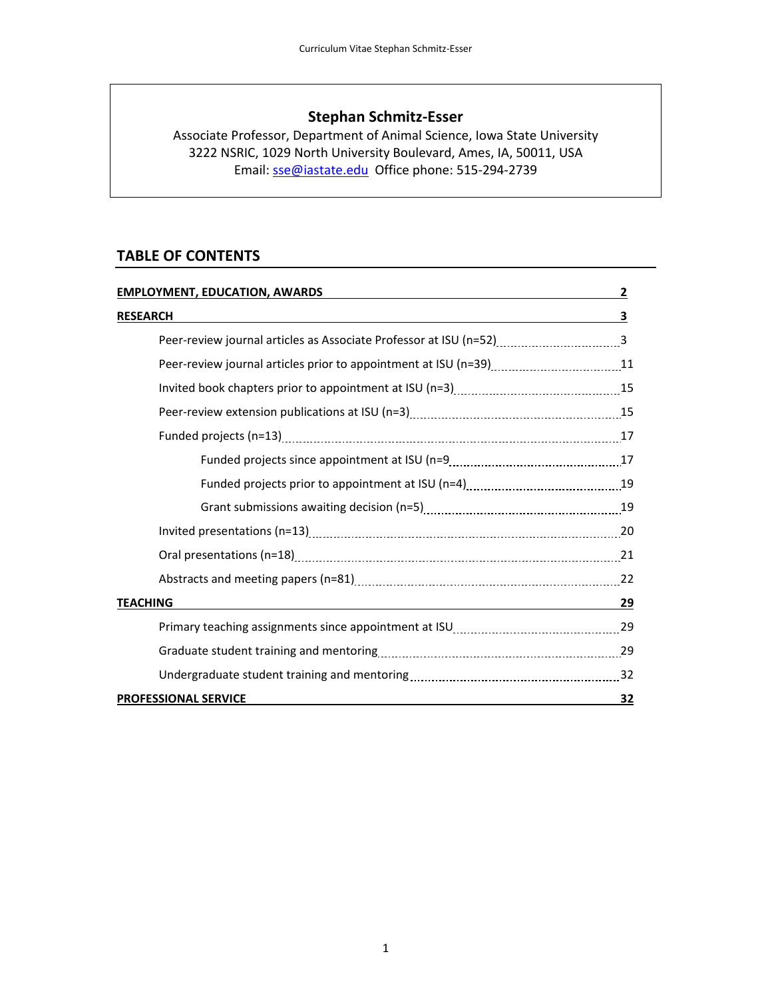## **Stephan Schmitz‐Esser**

Associate Professor, Department of Animal Science, Iowa State University 3222 NSRIC, 1029 North University Boulevard, Ames, IA, 50011, USA Email: sse@iastate.edu Office phone: 515‐294‐2739

## **TABLE OF CONTENTS**

| <b>EMPLOYMENT, EDUCATION, AWARDS</b>                               |    |
|--------------------------------------------------------------------|----|
| <b>RESEARCH</b>                                                    | 3  |
| Peer-review journal articles as Associate Professor at ISU (n=52)3 |    |
|                                                                    |    |
|                                                                    |    |
|                                                                    |    |
|                                                                    |    |
|                                                                    |    |
|                                                                    |    |
|                                                                    |    |
|                                                                    |    |
|                                                                    |    |
|                                                                    |    |
| <b>TEACHING</b>                                                    | 29 |
|                                                                    |    |
|                                                                    |    |
|                                                                    |    |
| <b>PROFESSIONAL SERVICE</b>                                        | 32 |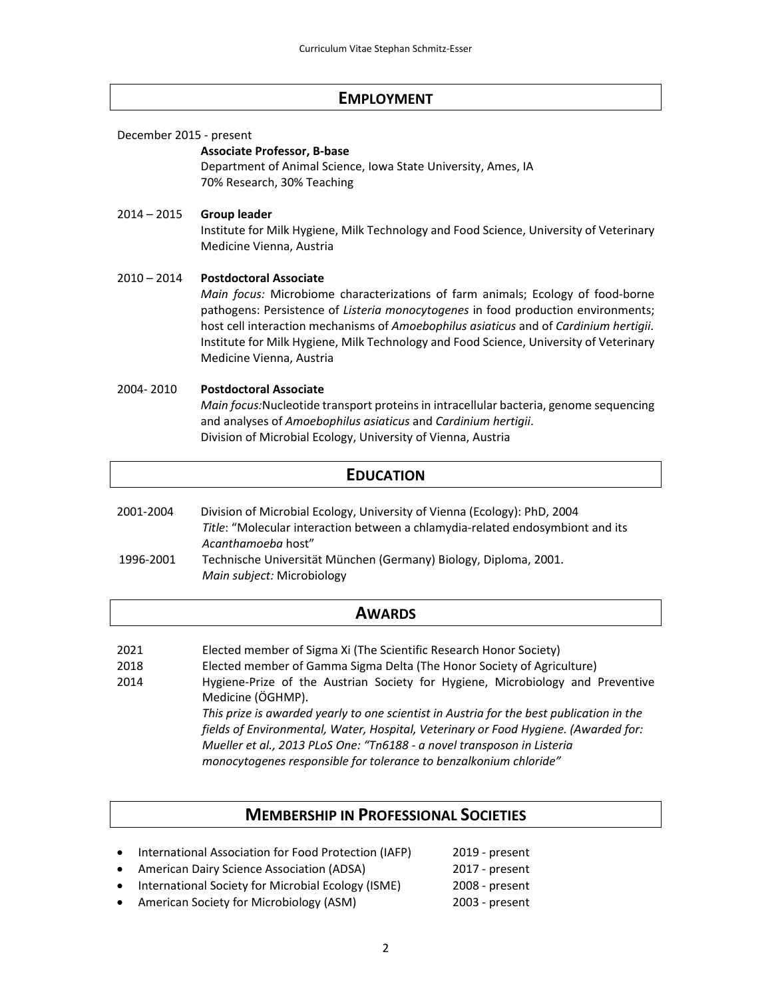#### **EMPLOYMENT**

December 2015 ‐ present

#### **Associate Professor, B‐base**

Department of Animal Science, Iowa State University, Ames, IA 70% Research, 30% Teaching

#### 2014 – 2015 **Group leader**

Institute for Milk Hygiene, Milk Technology and Food Science, University of Veterinary Medicine Vienna, Austria

#### 2010 – 2014 **Postdoctoral Associate**

*Main focus:* Microbiome characterizations of farm animals; Ecology of food‐borne pathogens: Persistence of *Listeria monocytogenes* in food production environments; host cell interaction mechanisms of *Amoebophilus asiaticus* and of *Cardinium hertigii*. Institute for Milk Hygiene, Milk Technology and Food Science, University of Veterinary Medicine Vienna, Austria

#### 2004‐ 2010 **Postdoctoral Associate**

*Main focus:*Nucleotide transport proteins in intracellular bacteria, genome sequencing and analyses of *Amoebophilus asiaticus* and *Cardinium hertigii*. Division of Microbial Ecology, University of Vienna, Austria

#### **EDUCATION**

| 2001-2004 | Division of Microbial Ecology, University of Vienna (Ecology): PhD, 2004       |
|-----------|--------------------------------------------------------------------------------|
|           | Title: "Molecular interaction between a chlamydia-related endosymbiont and its |
|           | Acanthamoeba host"                                                             |
| 1996-2001 | Technische Universität München (Germany) Biology, Diploma, 2001.               |
|           | Main subject: Microbiology                                                     |

### **AWARDS**

- 2021 Elected member of Sigma Xi (The Scientific Research Honor Society)
- 2018 Elected member of Gamma Sigma Delta (The Honor Society of Agriculture)
- 2014 Hygiene‐Prize of the Austrian Society for Hygiene, Microbiology and Preventive Medicine (ÖGHMP).

*This prize is awarded yearly to one scientist in Austria for the best publication in the fields of Environmental, Water, Hospital, Veterinary or Food Hygiene. (Awarded for: Mueller et al., 2013 PLoS One: "Tn6188 ‐ a novel transposon in Listeria monocytogenes responsible for tolerance to benzalkonium chloride"*

## **MEMBERSHIP IN PROFESSIONAL SOCIETIES**

- International Association for Food Protection (IAFP) 2019 present
- American Dairy Science Association (ADSA) 2017 present
- International Society for Microbial Ecology (ISME) 2008 present
- American Society for Microbiology (ASM) 2003 present
- 
- -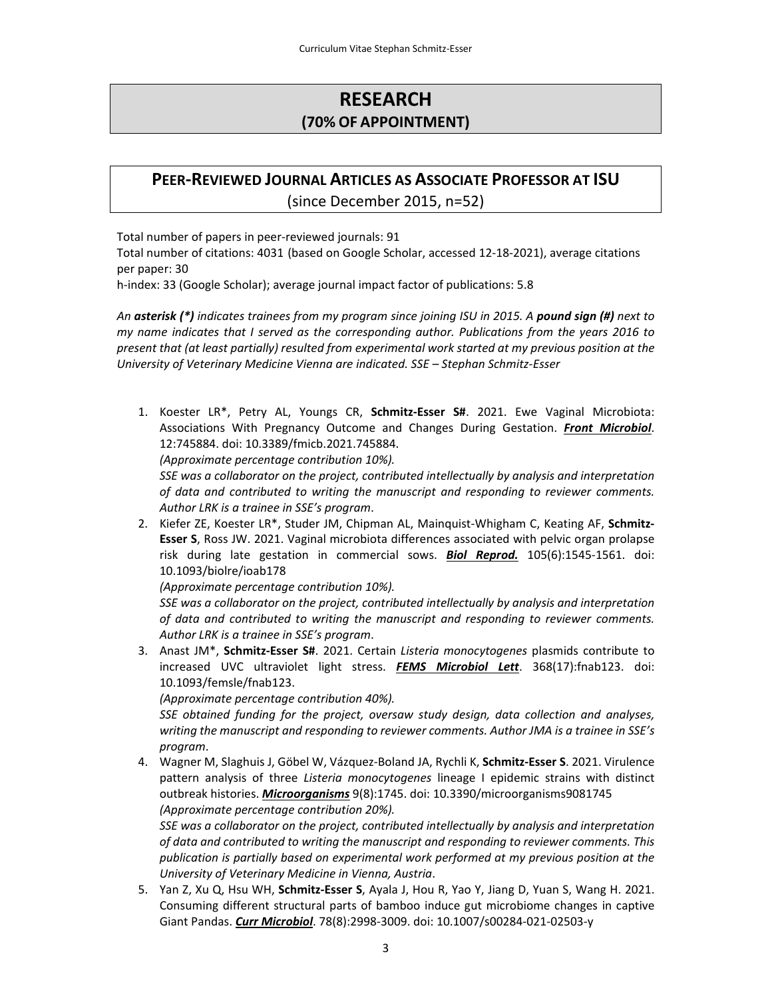# **RESEARCH (70% OF APPOINTMENT)**

# **PEER‐REVIEWED JOURNAL ARTICLES AS ASSOCIATE PROFESSOR AT ISU** (since December 2015, n=52)

Total number of papers in peer‐reviewed journals: 91

Total number of citations: 4031 (based on Google Scholar, accessed 12‐18‐2021), average citations per paper: 30

h-index: 33 (Google Scholar); average journal impact factor of publications: 5.8

An asterisk (\*) indicates trainees from my program since joining ISU in 2015. A pound sign (#) next to *my name indicates that I served as the corresponding author. Publications from the years 2016 to present that (at least partially) resulted from experimental work started at my previous position at the University of Veterinary Medicine Vienna are indicated. SSE – Stephan Schmitz‐Esser* 

1. Koester LR\*, Petry AL, Youngs CR, **Schmitz‐Esser S#**. 2021. Ewe Vaginal Microbiota: Associations With Pregnancy Outcome and Changes During Gestation. *Front Microbiol*. 12:745884. doi: 10.3389/fmicb.2021.745884.

*(Approximate percentage contribution 10%).*

*SSE was a collaborator on the project, contributed intellectually by analysis and interpretation of data and contributed to writing the manuscript and responding to reviewer comments. Author LRK is a trainee in SSE's program*.

2. Kiefer ZE, Koester LR\*, Studer JM, Chipman AL, Mainquist‐Whigham C, Keating AF, **Schmitz‐ Esser S**, Ross JW. 2021. Vaginal microbiota differences associated with pelvic organ prolapse risk during late gestation in commercial sows. *Biol Reprod.* 105(6):1545‐1561. doi: 10.1093/biolre/ioab178

*(Approximate percentage contribution 10%).*

*SSE was a collaborator on the project, contributed intellectually by analysis and interpretation of data and contributed to writing the manuscript and responding to reviewer comments. Author LRK is a trainee in SSE's program*.

3. Anast JM\*, **Schmitz‐Esser S#**. 2021. Certain *Listeria monocytogenes* plasmids contribute to increased UVC ultraviolet light stress. *FEMS Microbiol Lett*. 368(17):fnab123. doi: 10.1093/femsle/fnab123.

*(Approximate percentage contribution 40%).*

*SSE obtained funding for the project, oversaw study design, data collection and analyses, writing the manuscript and responding to reviewer comments. Author JMA is a trainee in SSE's program*.

4. Wagner M, Slaghuis J, Göbel W, Vázquez‐Boland JA, Rychli K, **Schmitz‐Esser S**. 2021. Virulence pattern analysis of three *Listeria monocytogenes* lineage I epidemic strains with distinct outbreak histories. *Microorganisms* 9(8):1745. doi: 10.3390/microorganisms9081745 *(Approximate percentage contribution 20%).*

*SSE was a collaborator on the project, contributed intellectually by analysis and interpretation of data and contributed to writing the manuscript and responding to reviewer comments. This publication is partially based on experimental work performed at my previous position at the University of Veterinary Medicine in Vienna, Austria*.

5. Yan Z, Xu Q, Hsu WH, **Schmitz‐Esser S**, Ayala J, Hou R, Yao Y, Jiang D, Yuan S, Wang H. 2021. Consuming different structural parts of bamboo induce gut microbiome changes in captive Giant Pandas. *Curr Microbiol*. 78(8):2998‐3009. doi: 10.1007/s00284‐021‐02503‐y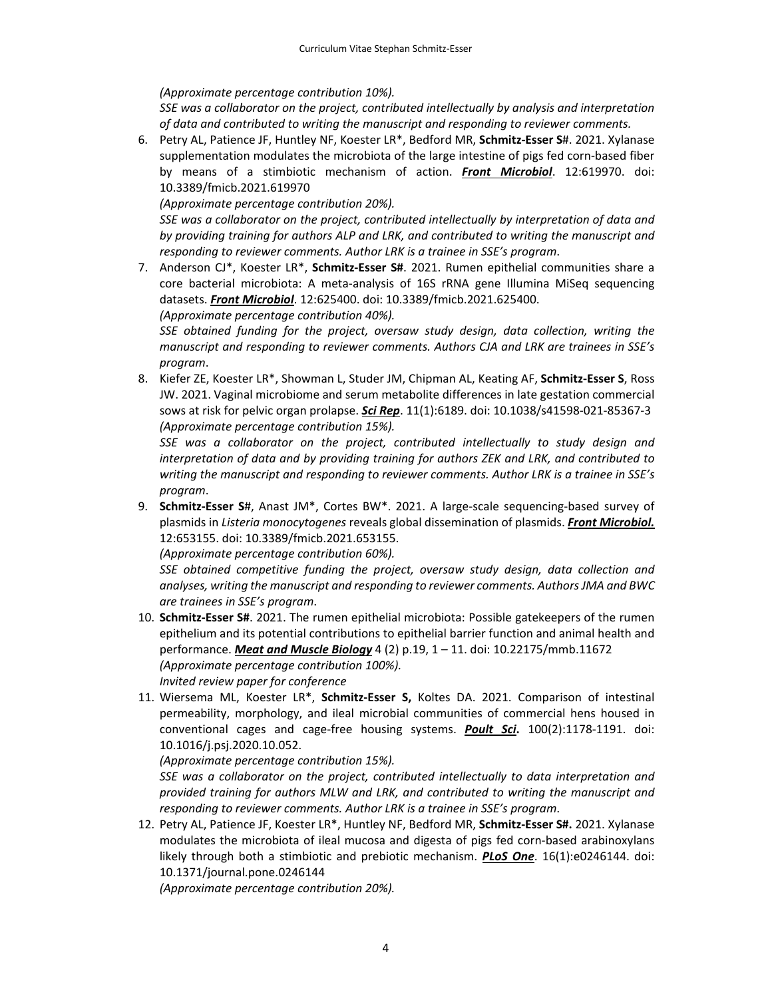*(Approximate percentage contribution 10%).*

*SSE was a collaborator on the project, contributed intellectually by analysis and interpretation of data and contributed to writing the manuscript and responding to reviewer comments.*

6. Petry AL, Patience JF, Huntley NF, Koester LR\*, Bedford MR, **Schmitz‐Esser S**#. 2021. Xylanase supplementation modulates the microbiota of the large intestine of pigs fed corn‐based fiber by means of a stimbiotic mechanism of action. *Front Microbiol*. 12:619970. doi: 10.3389/fmicb.2021.619970

*(Approximate percentage contribution 20%).*

*SSE was a collaborator on the project, contributed intellectually by interpretation of data and by providing training for authors ALP and LRK, and contributed to writing the manuscript and responding to reviewer comments. Author LRK is a trainee in SSE's program*.

7. Anderson CJ\*, Koester LR\*, **Schmitz‐Esser S#**. 2021. Rumen epithelial communities share a core bacterial microbiota: A meta‐analysis of 16S rRNA gene Illumina MiSeq sequencing datasets. *Front Microbiol*. 12:625400. doi: 10.3389/fmicb.2021.625400.

*(Approximate percentage contribution 40%).*

*SSE obtained funding for the project, oversaw study design, data collection, writing the manuscript and responding to reviewer comments. Authors CJA and LRK are trainees in SSE's program*.

8. Kiefer ZE, Koester LR\*, Showman L, Studer JM, Chipman AL, Keating AF, **Schmitz‐Esser S**, Ross JW. 2021. Vaginal microbiome and serum metabolite differences in late gestation commercial sows at risk for pelvic organ prolapse. *Sci Rep*. 11(1):6189. doi: 10.1038/s41598‐021‐85367‐3 *(Approximate percentage contribution 15%).*

*SSE was a collaborator on the project, contributed intellectually to study design and interpretation of data and by providing training for authors ZEK and LRK, and contributed to writing the manuscript and responding to reviewer comments. Author LRK is a trainee in SSE's program*.

9. **Schmitz‐Esser S**#, Anast JM\*, Cortes BW\*. 2021. A large‐scale sequencing‐based survey of plasmids in *Listeria monocytogenes* reveals global dissemination of plasmids. *Front Microbiol.* 12:653155. doi: 10.3389/fmicb.2021.653155.

*(Approximate percentage contribution 60%).*

*SSE obtained competitive funding the project, oversaw study design, data collection and analyses, writing the manuscript and responding to reviewer comments. AuthorsJMA and BWC are trainees in SSE's program*.

- 10. **Schmitz‐Esser S#**. 2021. The rumen epithelial microbiota: Possible gatekeepers of the rumen epithelium and its potential contributions to epithelial barrier function and animal health and performance. *Meat and Muscle Biology* 4 (2) p.19, 1 – 11. doi: 10.22175/mmb.11672 *(Approximate percentage contribution 100%). Invited review paper for conference*
- 11. Wiersema ML, Koester LR\*, **Schmitz‐Esser S,** Koltes DA. 2021. Comparison of intestinal permeability, morphology, and ileal microbial communities of commercial hens housed in conventional cages and cage‐free housing systems. *Poult Sci***.** 100(2):1178‐1191. doi: 10.1016/j.psj.2020.10.052.

*(Approximate percentage contribution 15%).*

*SSE was a collaborator on the project, contributed intellectually to data interpretation and provided training for authors MLW and LRK, and contributed to writing the manuscript and responding to reviewer comments. Author LRK is a trainee in SSE's program*.

12. Petry AL, Patience JF, Koester LR\*, Huntley NF, Bedford MR, **Schmitz‐Esser S#.** 2021. Xylanase modulates the microbiota of ileal mucosa and digesta of pigs fed corn‐based arabinoxylans likely through both a stimbiotic and prebiotic mechanism. *PLoS One*. 16(1):e0246144. doi: 10.1371/journal.pone.0246144

*(Approximate percentage contribution 20%).*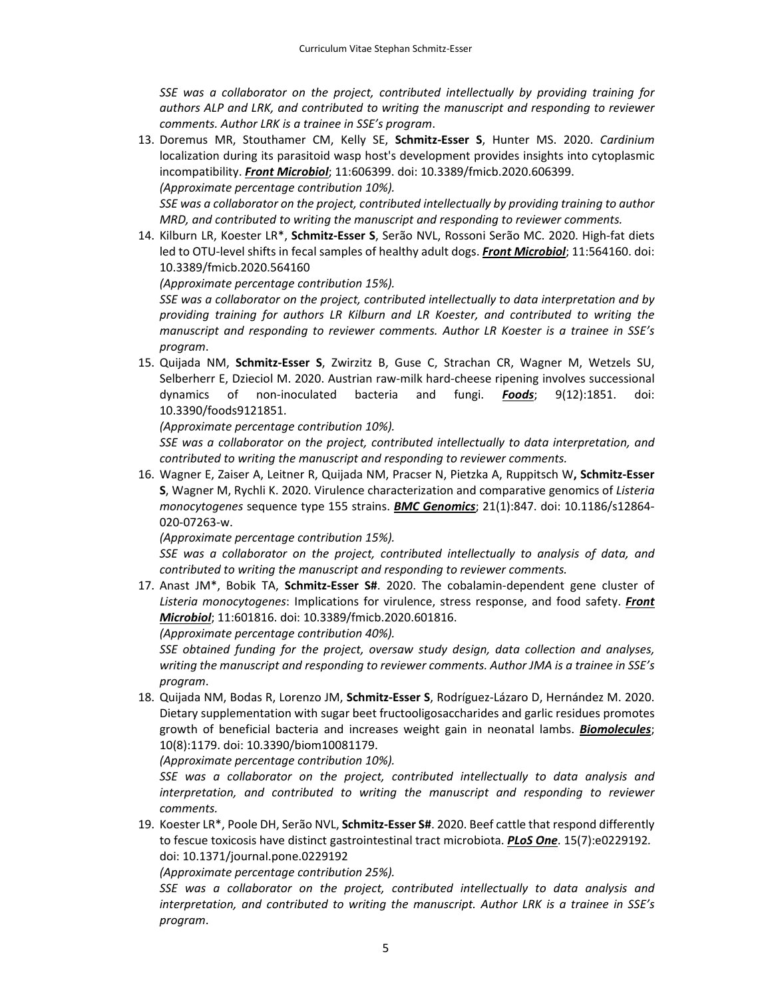*SSE was a collaborator on the project, contributed intellectually by providing training for authors ALP and LRK, and contributed to writing the manuscript and responding to reviewer comments. Author LRK is a trainee in SSE's program*.

13. Doremus MR, Stouthamer CM, Kelly SE, **Schmitz‐Esser S**, Hunter MS. 2020. *Cardinium* localization during its parasitoid wasp host's development provides insights into cytoplasmic incompatibility. *Front Microbiol*; 11:606399. doi: 10.3389/fmicb.2020.606399. *(Approximate percentage contribution 10%).*

*SSE was a collaborator on the project, contributed intellectually by providing training to author MRD, and contributed to writing the manuscript and responding to reviewer comments.*

14. Kilburn LR, Koester LR\*, **Schmitz‐Esser S**, Serão NVL, Rossoni Serão MC. 2020. High‐fat diets led to OTU‐level shifts in fecal samples of healthy adult dogs. *Front Microbiol*; 11:564160. doi: 10.3389/fmicb.2020.564160

*(Approximate percentage contribution 15%).*

*SSE was a collaborator on the project, contributed intellectually to data interpretation and by providing training for authors LR Kilburn and LR Koester, and contributed to writing the manuscript and responding to reviewer comments. Author LR Koester is a trainee in SSE's program*.

15. Quijada NM, **Schmitz‐Esser S**, Zwirzitz B, Guse C, Strachan CR, Wagner M, Wetzels SU, Selberherr E, Dzieciol M. 2020. Austrian raw-milk hard-cheese ripening involves successional dynamics of non‐inoculated bacteria and fungi. *Foods*; 9(12):1851. doi: 10.3390/foods9121851.

*(Approximate percentage contribution 10%).*

*SSE was a collaborator on the project, contributed intellectually to data interpretation, and contributed to writing the manuscript and responding to reviewer comments.*

16. Wagner E, Zaiser A, Leitner R, Quijada NM, Pracser N, Pietzka A, Ruppitsch W**, Schmitz‐Esser S**, Wagner M, Rychli K. 2020. Virulence characterization and comparative genomics of *Listeria monocytogenes* sequence type 155 strains. *BMC Genomics*; 21(1):847. doi: 10.1186/s12864‐ 020‐07263‐w.

*(Approximate percentage contribution 15%).*

*SSE was a collaborator on the project, contributed intellectually to analysis of data, and contributed to writing the manuscript and responding to reviewer comments.*

17. Anast JM\*, Bobik TA, **Schmitz‐Esser S#**. 2020. The cobalamin‐dependent gene cluster of *Listeria monocytogenes*: Implications for virulence, stress response, and food safety. *Front Microbiol*; 11:601816. doi: 10.3389/fmicb.2020.601816.

*(Approximate percentage contribution 40%).*

*SSE obtained funding for the project, oversaw study design, data collection and analyses, writing the manuscript and responding to reviewer comments. Author JMA is a trainee in SSE's program*.

18. Quijada NM, Bodas R, Lorenzo JM, **Schmitz‐Esser S**, Rodríguez‐Lázaro D, Hernández M. 2020. Dietary supplementation with sugar beet fructooligosaccharides and garlic residues promotes growth of beneficial bacteria and increases weight gain in neonatal lambs. *Biomolecules*; 10(8):1179. doi: 10.3390/biom10081179.

*(Approximate percentage contribution 10%).*

*SSE was a collaborator on the project, contributed intellectually to data analysis and interpretation, and contributed to writing the manuscript and responding to reviewer comments.*

19. Koester LR\*, Poole DH, Serão NVL, **Schmitz‐Esser S#**. 2020. Beef cattle that respond differently to fescue toxicosis have distinct gastrointestinal tract microbiota. *PLoS One*. 15(7):e0229192*.* doi: 10.1371/journal.pone.0229192

*(Approximate percentage contribution 25%).*

*SSE was a collaborator on the project, contributed intellectually to data analysis and interpretation, and contributed to writing the manuscript. Author LRK is a trainee in SSE's program*.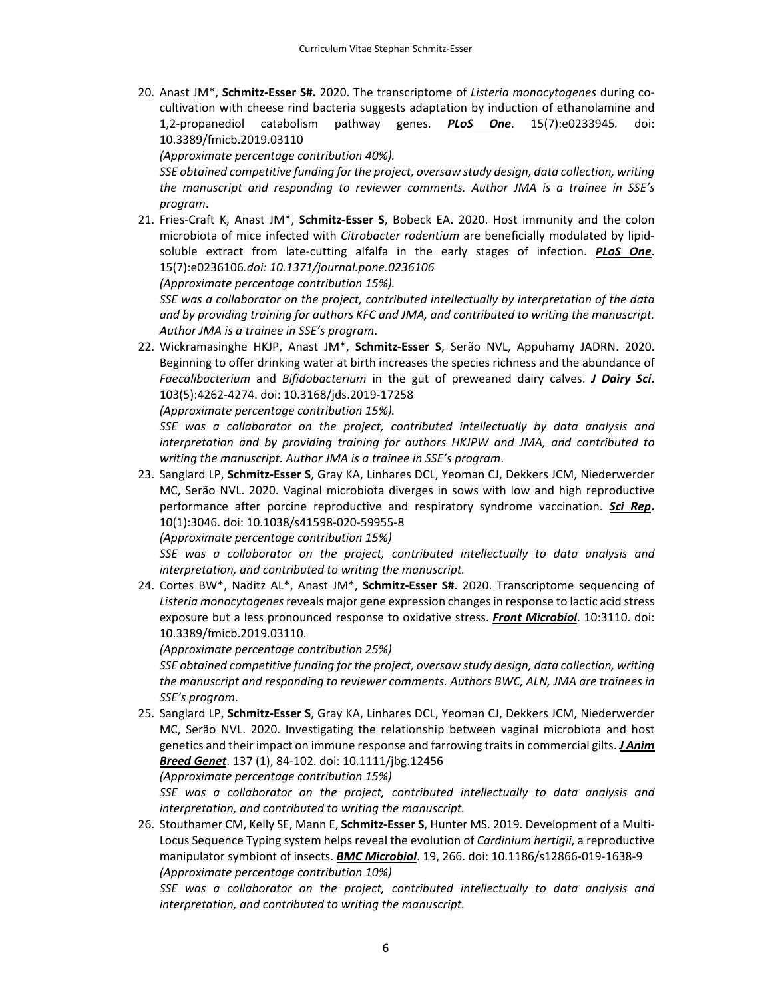20. Anast JM\*, **Schmitz‐Esser S#.** 2020. The transcriptome of *Listeria monocytogenes* during co‐ cultivation with cheese rind bacteria suggests adaptation by induction of ethanolamine and 1,2‐propanediol catabolism pathway genes. *PLoS One*. 15(7):e0233945*.* doi: 10.3389/fmicb.2019.03110

*(Approximate percentage contribution 40%).*

*SSE obtained competitive funding for the project, oversaw study design, data collection, writing the manuscript and responding to reviewer comments. Author JMA is a trainee in SSE's program*.

21. Fries‐Craft K, Anast JM\*, **Schmitz‐Esser S**, Bobeck EA. 2020. Host immunity and the colon microbiota of mice infected with *Citrobacter rodentium* are beneficially modulated by lipid‐ soluble extract from late‐cutting alfalfa in the early stages of infection. *PLoS One*. 15(7):e0236106*.doi: 10.1371/journal.pone.0236106*

*(Approximate percentage contribution 15%).* 

*SSE was a collaborator on the project, contributed intellectually by interpretation of the data and by providing training for authors KFC and JMA, and contributed to writing the manuscript. Author JMA is a trainee in SSE's program*.

22. Wickramasinghe HKJP, Anast JM\*, **Schmitz‐Esser S**, Serão NVL, Appuhamy JADRN. 2020. Beginning to offer drinking water at birth increases the species richness and the abundance of *Faecalibacterium* and *Bifidobacterium* in the gut of preweaned dairy calves. *J Dairy Sci***.** 103(5):4262‐4274. doi: 10.3168/jds.2019‐17258

*(Approximate percentage contribution 15%).*

*SSE was a collaborator on the project, contributed intellectually by data analysis and interpretation and by providing training for authors HKJPW and JMA, and contributed to writing the manuscript. Author JMA is a trainee in SSE's program*.

23. Sanglard LP, **Schmitz‐Esser S**, Gray KA, Linhares DCL, Yeoman CJ, Dekkers JCM, Niederwerder MC, Serão NVL. 2020. Vaginal microbiota diverges in sows with low and high reproductive performance after porcine reproductive and respiratory syndrome vaccination. *Sci Rep***.** 10(1):3046. doi: 10.1038/s41598‐020‐59955‐8

*(Approximate percentage contribution 15%)*

*SSE was a collaborator on the project, contributed intellectually to data analysis and interpretation, and contributed to writing the manuscript.*

24. Cortes BW\*, Naditz AL\*, Anast JM\*, **Schmitz‐Esser S#**. 2020. Transcriptome sequencing of *Listeria monocytogenes*reveals major gene expression changesin response to lactic acid stress exposure but a less pronounced response to oxidative stress. *Front Microbiol*. 10:3110. doi: 10.3389/fmicb.2019.03110.

*(Approximate percentage contribution 25%)*

*SSE obtained competitive funding for the project, oversaw study design, data collection, writing the manuscript and responding to reviewer comments. Authors BWC, ALN, JMA are trainees in SSE's program*.

25. Sanglard LP, **Schmitz‐Esser S**, Gray KA, Linhares DCL, Yeoman CJ, Dekkers JCM, Niederwerder MC, Serão NVL. 2020. Investigating the relationship between vaginal microbiota and host genetics and their impact on immune response and farrowing traits in commercial gilts. *J Anim Breed Genet*. 137 (1), 84‐102. doi: 10.1111/jbg.12456

*(Approximate percentage contribution 15%)*

*SSE was a collaborator on the project, contributed intellectually to data analysis and interpretation, and contributed to writing the manuscript.*

26. Stouthamer CM, Kelly SE, Mann E, **Schmitz‐Esser S**, Hunter MS. 2019. Development of a Multi‐ Locus Sequence Typing system helps reveal the evolution of *Cardinium hertigii*, a reproductive manipulator symbiont of insects. *BMC Microbiol*. 19, 266. doi: 10.1186/s12866‐019‐1638‐9 *(Approximate percentage contribution 10%)*

*SSE was a collaborator on the project, contributed intellectually to data analysis and interpretation, and contributed to writing the manuscript.*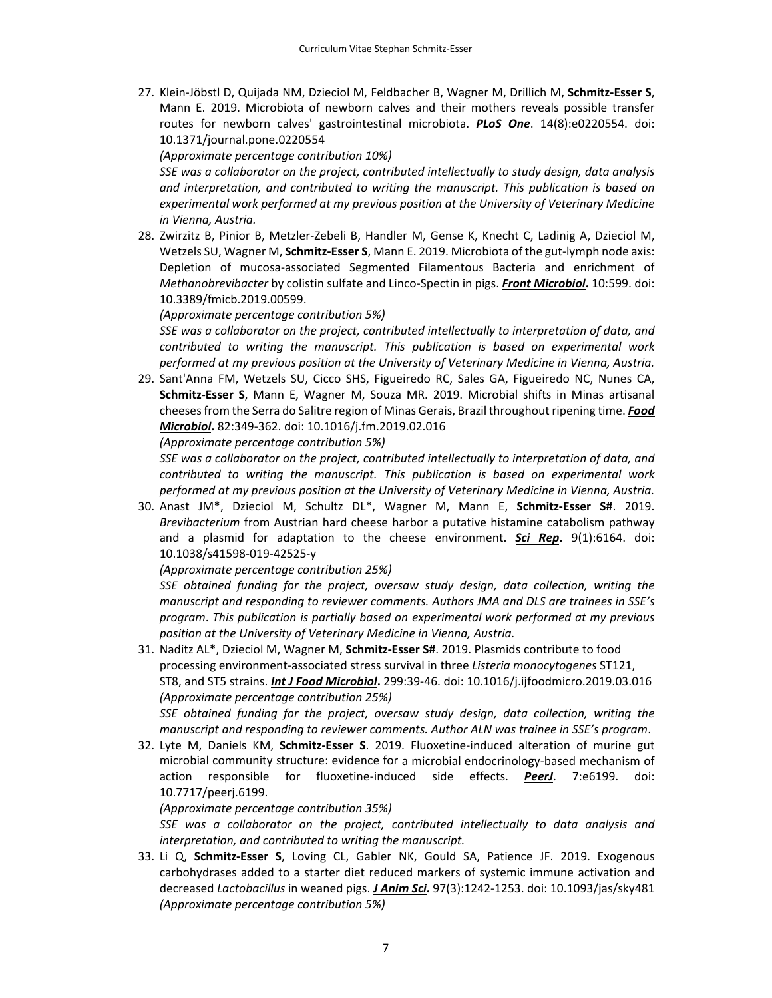27. Klein‐Jöbstl D, Quijada NM, Dzieciol M, Feldbacher B, Wagner M, Drillich M, **Schmitz‐Esser S**, Mann E. 2019. Microbiota of newborn calves and their mothers reveals possible transfer routes for newborn calves' gastrointestinal microbiota. *PLoS One*. 14(8):e0220554. doi: 10.1371/journal.pone.0220554

*(Approximate percentage contribution 10%)*

*SSE was a collaborator on the project, contributed intellectually to study design, data analysis and interpretation, and contributed to writing the manuscript. This publication is based on experimental work performed at my previous position at the University of Veterinary Medicine in Vienna, Austria.*

28. Zwirzitz B, Pinior B, Metzler‐Zebeli B, Handler M, Gense K, Knecht C, Ladinig A, Dzieciol M, Wetzels SU, Wagner M, **Schmitz‐Esser S**, Mann E. 2019. Microbiota of the gut‐lymph node axis: Depletion of mucosa‐associated Segmented Filamentous Bacteria and enrichment of *Methanobrevibacter* by colistin sulfate and Linco‐Spectin in pigs. *Front Microbiol***.** 10:599. doi: 10.3389/fmicb.2019.00599.

*(Approximate percentage contribution 5%)*

*SSE was a collaborator on the project, contributed intellectually to interpretation of data, and contributed to writing the manuscript. This publication is based on experimental work performed at my previous position at the University of Veterinary Medicine in Vienna, Austria.*

29. Sant'Anna FM, Wetzels SU, Cicco SHS, Figueiredo RC, Sales GA, Figueiredo NC, Nunes CA, **Schmitz‐Esser S**, Mann E, Wagner M, Souza MR. 2019. Microbial shifts in Minas artisanal cheesesfrom the Serra do Salitre region of Minas Gerais, Brazil throughout ripening time. *Food Microbiol***.** 82:349‐362. doi: 10.1016/j.fm.2019.02.016

*(Approximate percentage contribution 5%)*

*SSE was a collaborator on the project, contributed intellectually to interpretation of data, and contributed to writing the manuscript. This publication is based on experimental work performed at my previous position at the University of Veterinary Medicine in Vienna, Austria.*

30. Anast JM\*, Dzieciol M, Schultz DL\*, Wagner M, Mann E, **Schmitz‐Esser S#**. 2019. *Brevibacterium* from Austrian hard cheese harbor a putative histamine catabolism pathway and a plasmid for adaptation to the cheese environment. *Sci Rep***.** 9(1):6164. doi: 10.1038/s41598‐019‐42525‐y

*(Approximate percentage contribution 25%)*

*SSE obtained funding for the project, oversaw study design, data collection, writing the manuscript and responding to reviewer comments. Authors JMA and DLS are trainees in SSE's program*. *This publication is partially based on experimental work performed at my previous position at the University of Veterinary Medicine in Vienna, Austria.*

31. Naditz AL\*, Dzieciol M, Wagner M, **Schmitz‐Esser S#**. 2019. Plasmids contribute to food processing environment‐associated stress survival in three *Listeria monocytogenes* ST121, ST8, and ST5 strains. *Int J Food Microbiol***.** 299:39‐46. doi: 10.1016/j.ijfoodmicro.2019.03.016 *(Approximate percentage contribution 25%)*

*SSE obtained funding for the project, oversaw study design, data collection, writing the manuscript and responding to reviewer comments. Author ALN was trainee in SSE's program*.

32. Lyte M, Daniels KM, **Schmitz‐Esser S**. 2019. Fluoxetine‐induced alteration of murine gut microbial community structure: evidence for a microbial endocrinology‐based mechanism of action responsible for fluoxetine‐induced side effects. *PeerJ*. 7:e6199. doi: 10.7717/peerj.6199.

*(Approximate percentage contribution 35%)*

*SSE was a collaborator on the project, contributed intellectually to data analysis and interpretation, and contributed to writing the manuscript.*

33. Li Q, **Schmitz‐Esser S**, Loving CL, Gabler NK, Gould SA, Patience JF. 2019. Exogenous carbohydrases added to a starter diet reduced markers of systemic immune activation and decreased *Lactobacillus* in weaned pigs. *J Anim Sci***.** 97(3):1242‐1253. doi: 10.1093/jas/sky481 *(Approximate percentage contribution 5%)*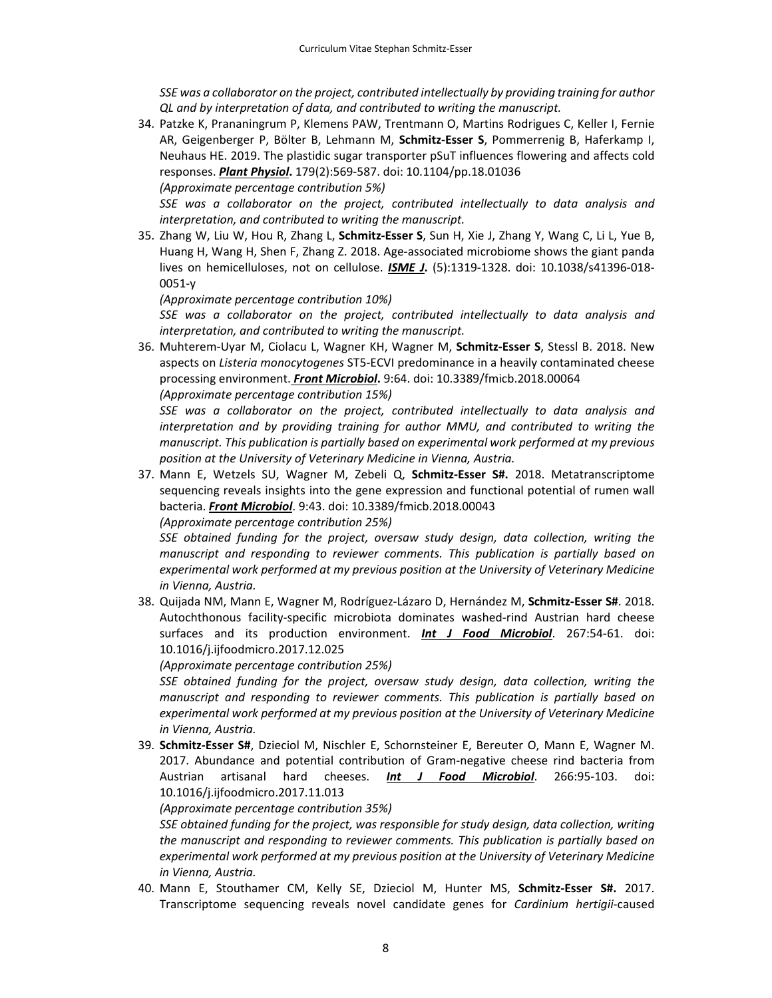*SSE was a collaborator on the project, contributed intellectually by providing training for author QL and by interpretation of data, and contributed to writing the manuscript.*

34. Patzke K, Prananingrum P, Klemens PAW, Trentmann O, Martins Rodrigues C, Keller I, Fernie AR, Geigenberger P, Bölter B, Lehmann M, **Schmitz‐Esser S**, Pommerrenig B, Haferkamp I, Neuhaus HE. 2019. The plastidic sugar transporter pSuT influences flowering and affects cold responses. *Plant Physiol***.** 179(2):569‐587. doi: 10.1104/pp.18.01036

*(Approximate percentage contribution 5%)*

*SSE was a collaborator on the project, contributed intellectually to data analysis and interpretation, and contributed to writing the manuscript.*

35. Zhang W, Liu W, Hou R, Zhang L, **Schmitz‐Esser S**, Sun H, Xie J, Zhang Y, Wang C, Li L, Yue B, Huang H, Wang H, Shen F, Zhang Z. 2018. Age‐associated microbiome shows the giant panda lives on hemicelluloses, not on cellulose. *ISME J***.** (5):1319‐1328. doi: 10.1038/s41396‐018‐ 0051‐y

*(Approximate percentage contribution 10%)*

*SSE was a collaborator on the project, contributed intellectually to data analysis and interpretation, and contributed to writing the manuscript.*

36. Muhterem‐Uyar M, Ciolacu L, Wagner KH, Wagner M, **Schmitz‐Esser S**, Stessl B. 2018. New aspects on *Listeria monocytogenes* ST5‐ECVI predominance in a heavily contaminated cheese processing environment. *Front Microbiol***.** 9:64. doi: 10.3389/fmicb.2018.00064

*(Approximate percentage contribution 15%)*

*SSE was a collaborator on the project, contributed intellectually to data analysis and interpretation and by providing training for author MMU, and contributed to writing the manuscript. This publication is partially based on experimental work performed at my previous position at the University of Veterinary Medicine in Vienna, Austria.*

37. Mann E, Wetzels SU, Wagner M, Zebeli Q, **Schmitz‐Esser S#.** 2018. Metatranscriptome sequencing reveals insights into the gene expression and functional potential of rumen wall bacteria. *Front Microbiol*. 9:43. doi: 10.3389/fmicb.2018.00043

*(Approximate percentage contribution 25%)*

*SSE obtained funding for the project, oversaw study design, data collection, writing the manuscript and responding to reviewer comments. This publication is partially based on experimental work performed at my previous position at the University of Veterinary Medicine in Vienna, Austria.*

38. Quijada NM, Mann E, Wagner M, Rodríguez‐Lázaro D, Hernández M, **Schmitz‐Esser S#**. 2018. Autochthonous facility‐specific microbiota dominates washed‐rind Austrian hard cheese surfaces and its production environment. *Int J Food Microbiol*. 267:54‐61. doi: 10.1016/j.ijfoodmicro.2017.12.025

*(Approximate percentage contribution 25%)*

*SSE obtained funding for the project, oversaw study design, data collection, writing the manuscript and responding to reviewer comments. This publication is partially based on experimental work performed at my previous position at the University of Veterinary Medicine in Vienna, Austria.*

39. **Schmitz‐Esser S#**, Dzieciol M, Nischler E, Schornsteiner E, Bereuter O, Mann E, Wagner M. 2017. Abundance and potential contribution of Gram-negative cheese rind bacteria from Austrian artisanal hard cheeses. *Int J Food Microbiol*. 266:95‐103. doi: 10.1016/j.ijfoodmicro.2017.11.013

*(Approximate percentage contribution 35%)*

*SSE obtained funding for the project, was responsible for study design, data collection, writing the manuscript and responding to reviewer comments. This publication is partially based on experimental work performed at my previous position at the University of Veterinary Medicine in Vienna, Austria.*

40. Mann E, Stouthamer CM, Kelly SE, Dzieciol M, Hunter MS, **Schmitz‐Esser S#.** 2017. Transcriptome sequencing reveals novel candidate genes for *Cardinium hertigii*‐caused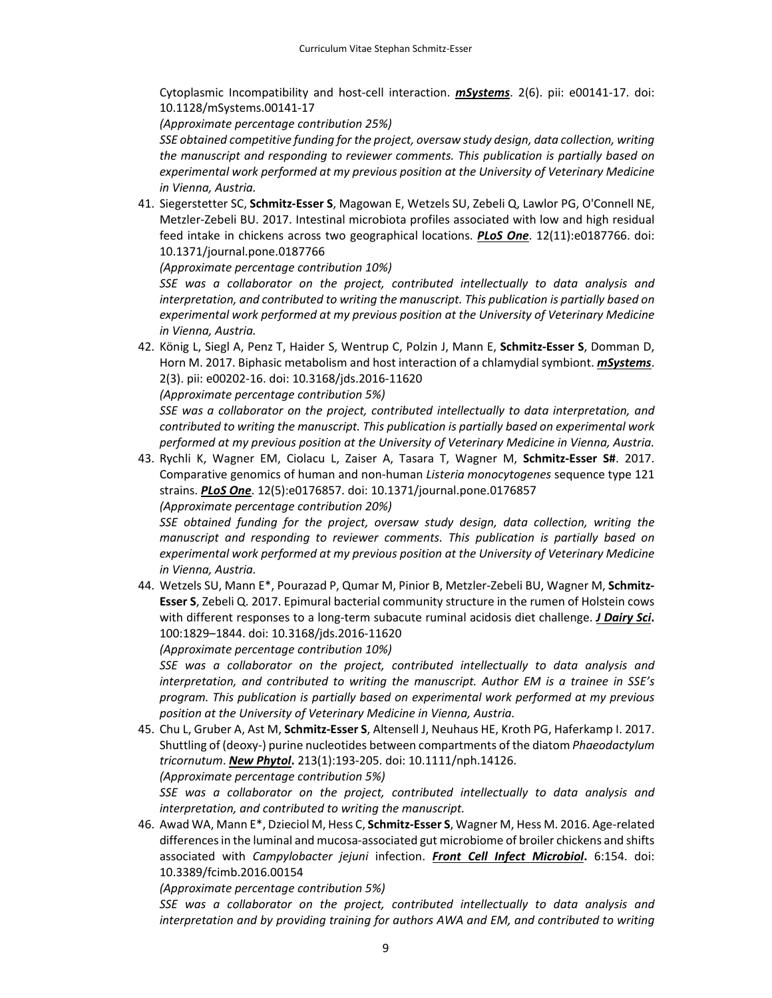Cytoplasmic Incompatibility and host‐cell interaction. *mSystems*. 2(6). pii: e00141‐17. doi: 10.1128/mSystems.00141‐17

*(Approximate percentage contribution 25%)*

*SSE obtained competitive funding for the project, oversaw study design, data collection, writing the manuscript and responding to reviewer comments. This publication is partially based on experimental work performed at my previous position at the University of Veterinary Medicine in Vienna, Austria.*

41. Siegerstetter SC, **Schmitz‐Esser S**, Magowan E, Wetzels SU, Zebeli Q, Lawlor PG, O'Connell NE, Metzler‐Zebeli BU. 2017. Intestinal microbiota profiles associated with low and high residual feed intake in chickens across two geographical locations. *PLoS One*. 12(11):e0187766. doi: 10.1371/journal.pone.0187766

*(Approximate percentage contribution 10%)*

*SSE was a collaborator on the project, contributed intellectually to data analysis and interpretation, and contributed to writing the manuscript. This publication is partially based on experimental work performed at my previous position at the University of Veterinary Medicine in Vienna, Austria.*

42. König L, Siegl A, Penz T, Haider S, Wentrup C, Polzin J, Mann E, **Schmitz‐Esser S**, Domman D, Horn M. 2017. Biphasic metabolism and host interaction of a chlamydial symbiont. *mSystems*. 2(3). pii: e00202‐16. doi: 10.3168/jds.2016‐11620

*(Approximate percentage contribution 5%)*

*SSE was a collaborator on the project, contributed intellectually to data interpretation, and contributed to writing the manuscript. This publication is partially based on experimental work performed at my previous position at the University of Veterinary Medicine in Vienna, Austria.*

43. Rychli K, Wagner EM, Ciolacu L, Zaiser A, Tasara T, Wagner M, **Schmitz‐Esser S#**. 2017. Comparative genomics of human and non‐human *Listeria monocytogenes* sequence type 121 strains. *PLoS One*. 12(5):e0176857. doi: 10.1371/journal.pone.0176857 *(Approximate percentage contribution 20%)*

*SSE obtained funding for the project, oversaw study design, data collection, writing the manuscript and responding to reviewer comments. This publication is partially based on experimental work performed at my previous position at the University of Veterinary Medicine in Vienna, Austria.*

44. Wetzels SU, Mann E\*, Pourazad P, Qumar M, Pinior B, Metzler‐Zebeli BU, Wagner M, **Schmitz‐ Esser S**, Zebeli Q. 2017. Epimural bacterial community structure in the rumen of Holstein cows with different responses to a long‐term subacute ruminal acidosis diet challenge. *J Dairy Sci***.** 100:1829–1844. doi: 10.3168/jds.2016‐11620

*(Approximate percentage contribution 10%)*

*SSE was a collaborator on the project, contributed intellectually to data analysis and interpretation, and contributed to writing the manuscript. Author EM is a trainee in SSE's program. This publication is partially based on experimental work performed at my previous position at the University of Veterinary Medicine in Vienna, Austria.*

45. Chu L, Gruber A, Ast M, **Schmitz‐Esser S**, Altensell J, Neuhaus HE, Kroth PG, Haferkamp I. 2017. Shuttling of (deoxy‐) purine nucleotides between compartments of the diatom *Phaeodactylum tricornutum*. *New Phytol***.** 213(1):193‐205. doi: 10.1111/nph.14126. *(Approximate percentage contribution 5%)*

*SSE was a collaborator on the project, contributed intellectually to data analysis and interpretation, and contributed to writing the manuscript.*

46. Awad WA, Mann E\*, Dzieciol M, Hess C, **Schmitz‐Esser S**, Wagner M, Hess M. 2016. Age‐related differences in the luminal and mucosa-associated gut microbiome of broiler chickens and shifts associated with *Campylobacter jejuni* infection. *Front Cell Infect Microbiol***.** 6:154. doi: 10.3389/fcimb.2016.00154

*(Approximate percentage contribution 5%)*

*SSE was a collaborator on the project, contributed intellectually to data analysis and interpretation and by providing training for authors AWA and EM, and contributed to writing*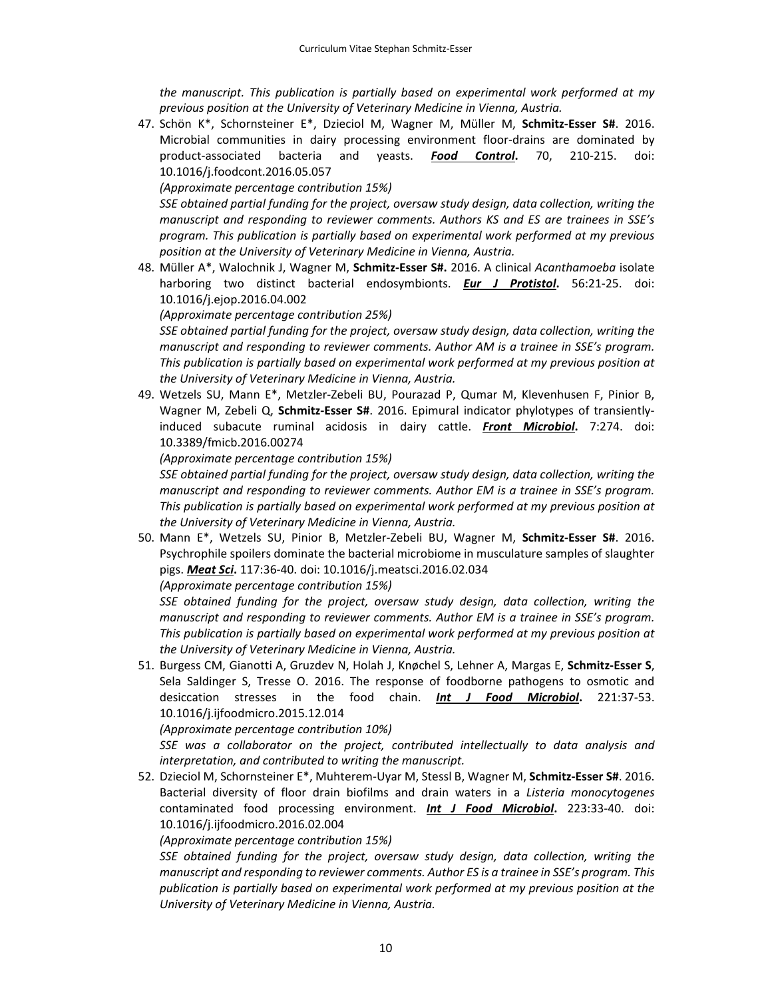*the manuscript. This publication is partially based on experimental work performed at my previous position at the University of Veterinary Medicine in Vienna, Austria.*

47. Schön K\*, Schornsteiner E\*, Dzieciol M, Wagner M, Müller M, **Schmitz‐Esser S#**. 2016. Microbial communities in dairy processing environment floor‐drains are dominated by product‐associated bacteria and yeasts. *Food Control***.** 70, 210‐215. doi: 10.1016/j.foodcont.2016.05.057

*(Approximate percentage contribution 15%)*

*SSE obtained partial funding for the project, oversaw study design, data collection, writing the manuscript and responding to reviewer comments. Authors KS and ES are trainees in SSE's program. This publication is partially based on experimental work performed at my previous position at the University of Veterinary Medicine in Vienna, Austria.*

48. Müller A\*, Walochnik J, Wagner M, **Schmitz‐Esser S#.** 2016. A clinical *Acanthamoeba* isolate harboring two distinct bacterial endosymbionts. *Eur J Protistol***.** 56:21‐25. doi: 10.1016/j.ejop.2016.04.002

*(Approximate percentage contribution 25%)* 

*SSE obtained partial funding for the project, oversaw study design, data collection, writing the manuscript and responding to reviewer comments. Author AM is a trainee in SSE's program. This publication is partially based on experimental work performed at my previous position at the University of Veterinary Medicine in Vienna, Austria.*

49. Wetzels SU, Mann E\*, Metzler‐Zebeli BU, Pourazad P, Qumar M, Klevenhusen F, Pinior B, Wagner M, Zebeli Q, **Schmitz‐Esser S#**. 2016. Epimural indicator phylotypes of transiently‐ induced subacute ruminal acidosis in dairy cattle. *Front Microbiol***.** 7:274. doi: 10.3389/fmicb.2016.00274

*(Approximate percentage contribution 15%)*

*SSE obtained partial funding for the project, oversaw study design, data collection, writing the manuscript and responding to reviewer comments. Author EM is a trainee in SSE's program. This publication is partially based on experimental work performed at my previous position at the University of Veterinary Medicine in Vienna, Austria.*

50. Mann E\*, Wetzels SU, Pinior B, Metzler‐Zebeli BU, Wagner M, **Schmitz‐Esser S#**. 2016. Psychrophile spoilers dominate the bacterial microbiome in musculature samples of slaughter pigs. *Meat Sci***.** 117:36‐40. doi: 10.1016/j.meatsci.2016.02.034

*(Approximate percentage contribution 15%)*

*SSE obtained funding for the project, oversaw study design, data collection, writing the manuscript and responding to reviewer comments. Author EM is a trainee in SSE's program. This publication is partially based on experimental work performed at my previous position at the University of Veterinary Medicine in Vienna, Austria.*

51. Burgess CM, Gianotti A, Gruzdev N, Holah J, Knøchel S, Lehner A, Margas E, **Schmitz‐Esser S**, Sela Saldinger S, Tresse O. 2016. The response of foodborne pathogens to osmotic and desiccation stresses in the food chain. *Int J Food Microbiol***.** 221:37‐53. 10.1016/j.ijfoodmicro.2015.12.014

*(Approximate percentage contribution 10%)*

*SSE was a collaborator on the project, contributed intellectually to data analysis and interpretation, and contributed to writing the manuscript.*

52. Dzieciol M, Schornsteiner E\*, Muhterem‐Uyar M, Stessl B, Wagner M, **Schmitz‐Esser S#**. 2016. Bacterial diversity of floor drain biofilms and drain waters in a *Listeria monocytogenes* contaminated food processing environment. *Int J Food Microbiol***.** 223:33‐40. doi: 10.1016/j.ijfoodmicro.2016.02.004

*(Approximate percentage contribution 15%)*

*SSE obtained funding for the project, oversaw study design, data collection, writing the manuscript and responding to reviewer comments. Author ES is a trainee in SSE's program. This publication is partially based on experimental work performed at my previous position at the University of Veterinary Medicine in Vienna, Austria.*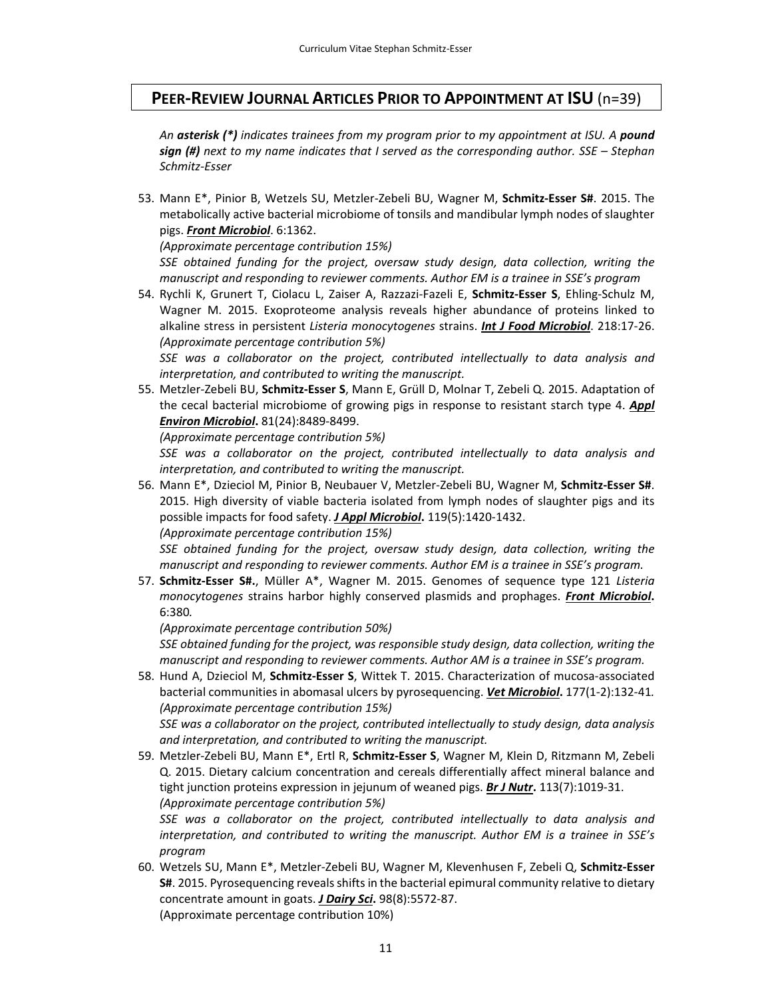# **PEER‐REVIEW JOURNAL ARTICLES PRIOR TO APPOINTMENT AT ISU** (n=39)

*An asterisk (\*) indicates trainees from my program prior to my appointment at ISU. A pound sign (#) next to my name indicates that I served as the corresponding author. SSE – Stephan Schmitz‐Esser*

53. Mann E\*, Pinior B, Wetzels SU, Metzler‐Zebeli BU, Wagner M, **Schmitz‐Esser S#**. 2015. The metabolically active bacterial microbiome of tonsils and mandibular lymph nodes of slaughter pigs. *Front Microbiol*. 6:1362.

*(Approximate percentage contribution 15%)*

*SSE obtained funding for the project, oversaw study design, data collection, writing the manuscript and responding to reviewer comments. Author EM is a trainee in SSE's program*

54. Rychli K, Grunert T, Ciolacu L, Zaiser A, Razzazi‐Fazeli E, **Schmitz‐Esser S**, Ehling‐Schulz M, Wagner M. 2015. Exoproteome analysis reveals higher abundance of proteins linked to alkaline stress in persistent *Listeria monocytogenes* strains. *Int J Food Microbiol*. 218:17‐26. *(Approximate percentage contribution 5%)*

*SSE was a collaborator on the project, contributed intellectually to data analysis and interpretation, and contributed to writing the manuscript.*

55. Metzler‐Zebeli BU, **Schmitz‐Esser S**, Mann E, Grüll D, Molnar T, Zebeli Q. 2015. Adaptation of the cecal bacterial microbiome of growing pigs in response to resistant starch type 4. *Appl Environ Microbiol***.** 81(24):8489‐8499.

*(Approximate percentage contribution 5%)*

*SSE was a collaborator on the project, contributed intellectually to data analysis and interpretation, and contributed to writing the manuscript.*

56. Mann E\*, Dzieciol M, Pinior B, Neubauer V, Metzler‐Zebeli BU, Wagner M, **Schmitz‐Esser S#**. 2015. High diversity of viable bacteria isolated from lymph nodes of slaughter pigs and its possible impacts for food safety. *J Appl Microbiol***.** 119(5):1420‐1432. *(Approximate percentage contribution 15%)*

*SSE obtained funding for the project, oversaw study design, data collection, writing the manuscript and responding to reviewer comments. Author EM is a trainee in SSE's program.*

57. **Schmitz‐Esser S#.**, Müller A\*, Wagner M. 2015. Genomes of sequence type 121 *Listeria monocytogenes* strains harbor highly conserved plasmids and prophages. *Front Microbiol***.** 6:380*.* 

*(Approximate percentage contribution 50%)*

*SSE obtained funding for the project, was responsible study design, data collection, writing the manuscript and responding to reviewer comments. Author AM is a trainee in SSE's program.*

58. Hund A, Dzieciol M, **Schmitz‐Esser S**, Wittek T. 2015. Characterization of mucosa‐associated bacterial communities in abomasal ulcers by pyrosequencing. *Vet Microbiol***.** 177(1‐2):132‐41*. (Approximate percentage contribution 15%)*

*SSE was a collaborator on the project, contributed intellectually to study design, data analysis and interpretation, and contributed to writing the manuscript.*

59. Metzler‐Zebeli BU, Mann E\*, Ertl R, **Schmitz‐Esser S**, Wagner M, Klein D, Ritzmann M, Zebeli Q. 2015. Dietary calcium concentration and cereals differentially affect mineral balance and tight junction proteins expression in jejunum of weaned pigs. *Br J Nutr***.** 113(7):1019‐31. *(Approximate percentage contribution 5%)*

*SSE was a collaborator on the project, contributed intellectually to data analysis and interpretation, and contributed to writing the manuscript. Author EM is a trainee in SSE's program*

60. Wetzels SU, Mann E\*, Metzler‐Zebeli BU, Wagner M, Klevenhusen F, Zebeli Q, **Schmitz‐Esser S#**. 2015. Pyrosequencing reveals shifts in the bacterial epimural community relative to dietary concentrate amount in goats. *J Dairy Sci***.** 98(8):5572‐87. (Approximate percentage contribution 10%)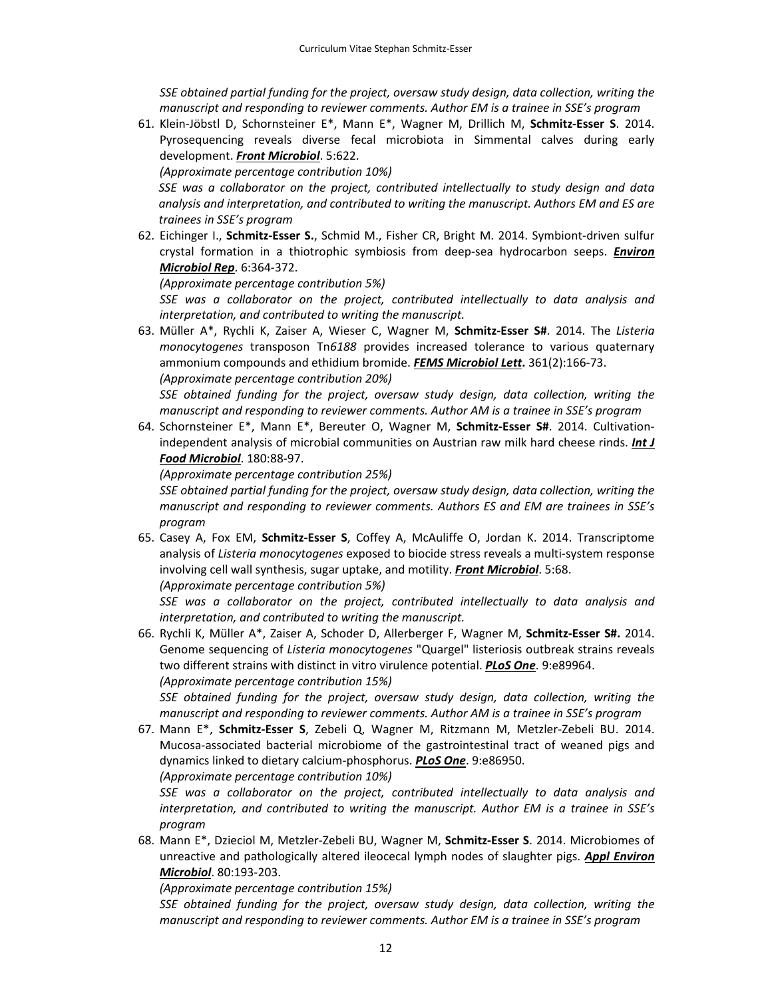*SSE obtained partial funding for the project, oversaw study design, data collection, writing the manuscript and responding to reviewer comments. Author EM is a trainee in SSE's program*

61. Klein‐Jöbstl D, Schornsteiner E\*, Mann E\*, Wagner M, Drillich M, **Schmitz‐Esser S**. 2014. Pyrosequencing reveals diverse fecal microbiota in Simmental calves during early development. *Front Microbiol*. 5:622.

*(Approximate percentage contribution 10%)*

*SSE was a collaborator on the project, contributed intellectually to study design and data analysis and interpretation, and contributed to writing the manuscript. Authors EM and ES are trainees in SSE's program*

62. Eichinger I., **Schmitz‐Esser S.**, Schmid M., Fisher CR, Bright M. 2014. Symbiont‐driven sulfur crystal formation in a thiotrophic symbiosis from deep‐sea hydrocarbon seeps. *Environ Microbiol Rep*. 6:364‐372.

*(Approximate percentage contribution 5%)*

*SSE was a collaborator on the project, contributed intellectually to data analysis and interpretation, and contributed to writing the manuscript.*

63. Müller A\*, Rychli K, Zaiser A, Wieser C, Wagner M, **Schmitz‐Esser S#**. 2014. The *Listeria monocytogenes* transposon Tn*6188* provides increased tolerance to various quaternary ammonium compounds and ethidium bromide. *FEMS Microbiol Lett***.** 361(2):166‐73. *(Approximate percentage contribution 20%)*

*SSE obtained funding for the project, oversaw study design, data collection, writing the manuscript and responding to reviewer comments. Author AM is a trainee in SSE's program*

64. Schornsteiner E\*, Mann E\*, Bereuter O, Wagner M, **Schmitz‐Esser S#**. 2014. Cultivation‐ independent analysis of microbial communities on Austrian raw milk hard cheese rinds. *Int J Food Microbiol*. 180:88‐97.

*(Approximate percentage contribution 25%)*

*SSE obtained partial funding for the project, oversaw study design, data collection, writing the manuscript and responding to reviewer comments. Authors ES and EM are trainees in SSE's program*

65. Casey A, Fox EM, **Schmitz‐Esser S**, Coffey A, McAuliffe O, Jordan K. 2014. Transcriptome analysis of *Listeria monocytogenes* exposed to biocide stress reveals a multi‐system response involving cell wall synthesis, sugar uptake, and motility. *Front Microbiol*. 5:68.

*(Approximate percentage contribution 5%)*

*SSE was a collaborator on the project, contributed intellectually to data analysis and interpretation, and contributed to writing the manuscript.*

66. Rychli K, Müller A\*, Zaiser A, Schoder D, Allerberger F, Wagner M, **Schmitz‐Esser S#.** 2014. Genome sequencing of *Listeria monocytogenes* "Quargel" listeriosis outbreak strains reveals two different strains with distinct in vitro virulence potential. *PLoS One*. 9:e89964. *(Approximate percentage contribution 15%)*

*SSE obtained funding for the project, oversaw study design, data collection, writing the manuscript and responding to reviewer comments. Author AM is a trainee in SSE's program*

67. Mann E\*, **Schmitz‐Esser S**, Zebeli Q, Wagner M, Ritzmann M, Metzler‐Zebeli BU. 2014. Mucosa‐associated bacterial microbiome of the gastrointestinal tract of weaned pigs and dynamics linked to dietary calcium‐phosphorus. *PLoS One*. 9:e86950. *(Approximate percentage contribution 10%)*

*SSE was a collaborator on the project, contributed intellectually to data analysis and interpretation, and contributed to writing the manuscript. Author EM is a trainee in SSE's program*

68. Mann E\*, Dzieciol M, Metzler‐Zebeli BU, Wagner M, **Schmitz‐Esser S**. 2014. Microbiomes of unreactive and pathologically altered ileocecal lymph nodes of slaughter pigs. *Appl Environ Microbiol*. 80:193‐203.

*(Approximate percentage contribution 15%)*

*SSE obtained funding for the project, oversaw study design, data collection, writing the manuscript and responding to reviewer comments. Author EM is a trainee in SSE's program*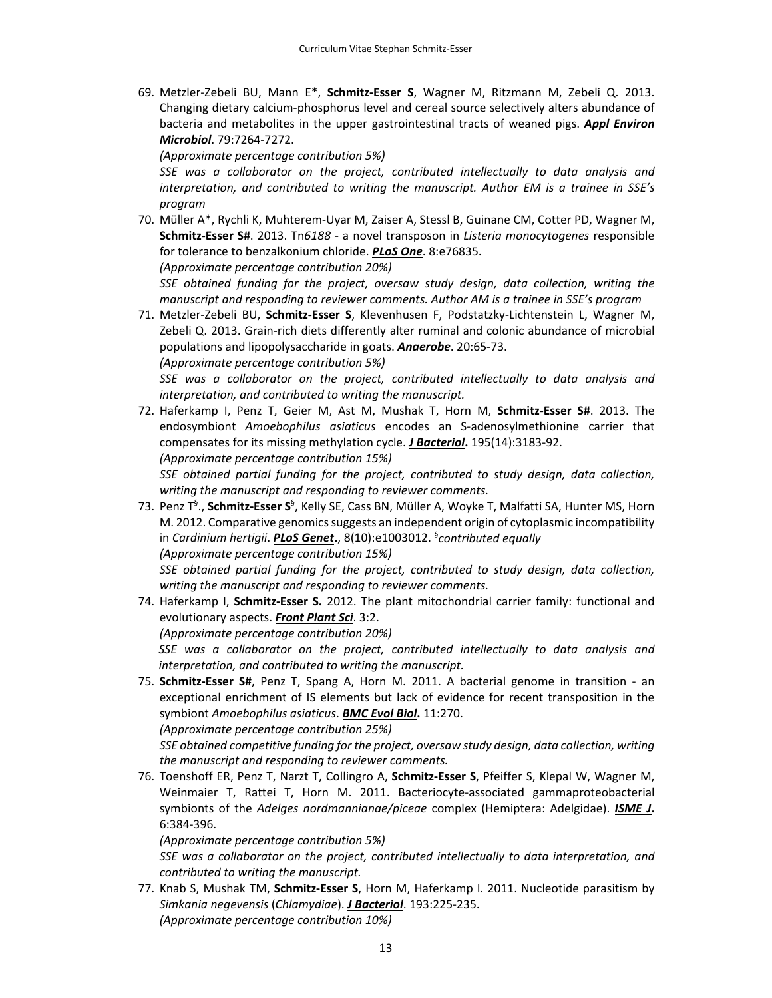69. Metzler‐Zebeli BU, Mann E\*, **Schmitz‐Esser S**, Wagner M, Ritzmann M, Zebeli Q. 2013. Changing dietary calcium‐phosphorus level and cereal source selectively alters abundance of bacteria and metabolites in the upper gastrointestinal tracts of weaned pigs. *Appl Environ Microbiol*. 79:7264‐7272.

*(Approximate percentage contribution 5%)*

*SSE was a collaborator on the project, contributed intellectually to data analysis and interpretation, and contributed to writing the manuscript. Author EM is a trainee in SSE's program*

70. Müller A\*, Rychli K, Muhterem‐Uyar M, Zaiser A, Stessl B, Guinane CM, Cotter PD, Wagner M, **Schmitz‐Esser S#**. 2013. Tn*6188* ‐ a novel transposon in *Listeria monocytogenes* responsible for tolerance to benzalkonium chloride. *PLoS One*. 8:e76835.

*(Approximate percentage contribution 20%)*

*SSE obtained funding for the project, oversaw study design, data collection, writing the manuscript and responding to reviewer comments. Author AM is a trainee in SSE's program*

71. Metzler‐Zebeli BU, **Schmitz‐Esser S**, Klevenhusen F, Podstatzky‐Lichtenstein L, Wagner M, Zebeli Q. 2013. Grain‐rich diets differently alter ruminal and colonic abundance of microbial populations and lipopolysaccharide in goats. *Anaerobe*. 20:65‐73. *(Approximate percentage contribution 5%)*

*SSE was a collaborator on the project, contributed intellectually to data analysis and interpretation, and contributed to writing the manuscript.*

72. Haferkamp I, Penz T, Geier M, Ast M, Mushak T, Horn M, **Schmitz‐Esser S#**. 2013. The endosymbiont *Amoebophilus asiaticus* encodes an S‐adenosylmethionine carrier that compensates for its missing methylation cycle. *J Bacteriol***.** 195(14):3183‐92.

*(Approximate percentage contribution 15%)*

*SSE obtained partial funding for the project, contributed to study design, data collection, writing the manuscript and responding to reviewer comments.*

73. Penz T§ ., **Schmitz‐Esser S**§ , Kelly SE, Cass BN, Müller A, Woyke T, Malfatti SA, Hunter MS, Horn M. 2012. Comparative genomics suggests an independent origin of cytoplasmic incompatibility in *Cardinium hertigii*. *PLoS Genet***.**, 8(10):e1003012. § *contributed equally (Approximate percentage contribution 15%)*

*SSE obtained partial funding for the project, contributed to study design, data collection, writing the manuscript and responding to reviewer comments.*

- 74. Haferkamp I, **Schmitz‐Esser S.** 2012. The plant mitochondrial carrier family: functional and evolutionary aspects. *Front Plant Sci*. 3:2. *(Approximate percentage contribution 20%) SSE was a collaborator on the project, contributed intellectually to data analysis and*
- *interpretation, and contributed to writing the manuscript.* 75. **Schmitz‐Esser S#**, Penz T, Spang A, Horn M. 2011. A bacterial genome in transition ‐ an exceptional enrichment of IS elements but lack of evidence for recent transposition in the symbiont *Amoebophilus asiaticus*. *BMC Evol Biol***.** 11:270.

*(Approximate percentage contribution 25%)*

*SSE obtained competitive funding for the project, oversaw study design, data collection, writing the manuscript and responding to reviewer comments.*

76. Toenshoff ER, Penz T, Narzt T, Collingro A, **Schmitz‐Esser S**, Pfeiffer S, Klepal W, Wagner M, Weinmaier T, Rattei T, Horn M. 2011. Bacteriocyte-associated gammaproteobacterial symbionts of the *Adelges nordmannianae/piceae* complex (Hemiptera: Adelgidae). *ISME J***.** 6:384‐396.

*(Approximate percentage contribution 5%)*

*SSE was a collaborator on the project, contributed intellectually to data interpretation, and contributed to writing the manuscript.*

77. Knab S, Mushak TM, **Schmitz‐Esser S**, Horn M, Haferkamp I. 2011. Nucleotide parasitism by *Simkania negevensis* (*Chlamydiae*). *J Bacteriol*. 193:225‐235. *(Approximate percentage contribution 10%)*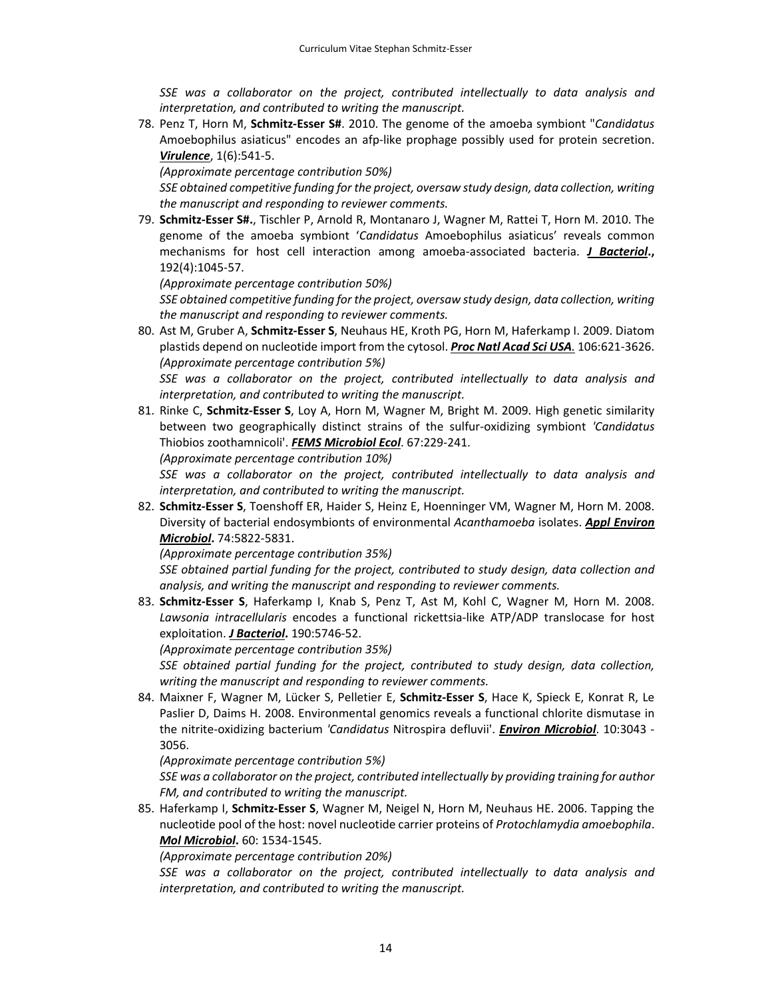*SSE was a collaborator on the project, contributed intellectually to data analysis and interpretation, and contributed to writing the manuscript.*

78. Penz T, Horn M, **Schmitz‐Esser S#**. 2010. The genome of the amoeba symbiont "*Candidatus* Amoebophilus asiaticus" encodes an afp‐like prophage possibly used for protein secretion. *Virulence*, 1(6):541‐5.

*(Approximate percentage contribution 50%)*

*SSE obtained competitive funding for the project, oversaw study design, data collection, writing the manuscript and responding to reviewer comments.*

79. **Schmitz‐Esser S#.**, Tischler P, Arnold R, Montanaro J, Wagner M, Rattei T, Horn M. 2010. The genome of the amoeba symbiont '*Candidatus* Amoebophilus asiaticus' reveals common mechanisms for host cell interaction among amoeba‐associated bacteria. *J Bacteriol***.,** 192(4):1045‐57.

*(Approximate percentage contribution 50%)*

*SSE obtained competitive funding for the project, oversaw study design, data collection, writing the manuscript and responding to reviewer comments.*

80. Ast M, Gruber A, **Schmitz‐Esser S**, Neuhaus HE, Kroth PG, Horn M, Haferkamp I. 2009. Diatom plastids depend on nucleotide import from the cytosol. *Proc Natl Acad Sci USA.* 106:621‐3626. *(Approximate percentage contribution 5%)*

*SSE was a collaborator on the project, contributed intellectually to data analysis and interpretation, and contributed to writing the manuscript.*

81. Rinke C, **Schmitz‐Esser S**, Loy A, Horn M, Wagner M, Bright M. 2009. High genetic similarity between two geographically distinct strains of the sulfur‐oxidizing symbiont *'Candidatus* Thiobios zoothamnicoli'. *FEMS Microbiol Ecol*. 67:229‐241.

*(Approximate percentage contribution 10%)*

*SSE was a collaborator on the project, contributed intellectually to data analysis and interpretation, and contributed to writing the manuscript.*

82. **Schmitz‐Esser S**, Toenshoff ER, Haider S, Heinz E, Hoenninger VM, Wagner M, Horn M. 2008. Diversity of bacterial endosymbionts of environmental *Acanthamoeba* isolates. *Appl Environ Microbiol***.** 74:5822‐5831.

*(Approximate percentage contribution 35%)*

*SSE obtained partial funding for the project, contributed to study design, data collection and analysis, and writing the manuscript and responding to reviewer comments.*

83. **Schmitz‐Esser S**, Haferkamp I, Knab S, Penz T, Ast M, Kohl C, Wagner M, Horn M. 2008. *Lawsonia intracellularis* encodes a functional rickettsia‐like ATP/ADP translocase for host exploitation. *J Bacteriol***.** 190:5746‐52.

*(Approximate percentage contribution 35%)*

*SSE obtained partial funding for the project, contributed to study design, data collection, writing the manuscript and responding to reviewer comments.*

84. Maixner F, Wagner M, Lücker S, Pelletier E, **Schmitz‐Esser S**, Hace K, Spieck E, Konrat R, Le Paslier D, Daims H. 2008. Environmental genomics reveals a functional chlorite dismutase in the nitrite‐oxidizing bacterium *'Candidatus* Nitrospira defluvii'. *Environ Microbiol*. 10:3043 ‐ 3056.

*(Approximate percentage contribution 5%)*

*SSE was a collaborator on the project, contributed intellectually by providing training for author FM, and contributed to writing the manuscript.*

85. Haferkamp I, **Schmitz‐Esser S**, Wagner M, Neigel N, Horn M, Neuhaus HE. 2006. Tapping the nucleotide pool of the host: novel nucleotide carrier proteins of *Protochlamydia amoebophila*. *Mol Microbiol***.** 60: 1534‐1545.

*(Approximate percentage contribution 20%)*

*SSE was a collaborator on the project, contributed intellectually to data analysis and interpretation, and contributed to writing the manuscript.*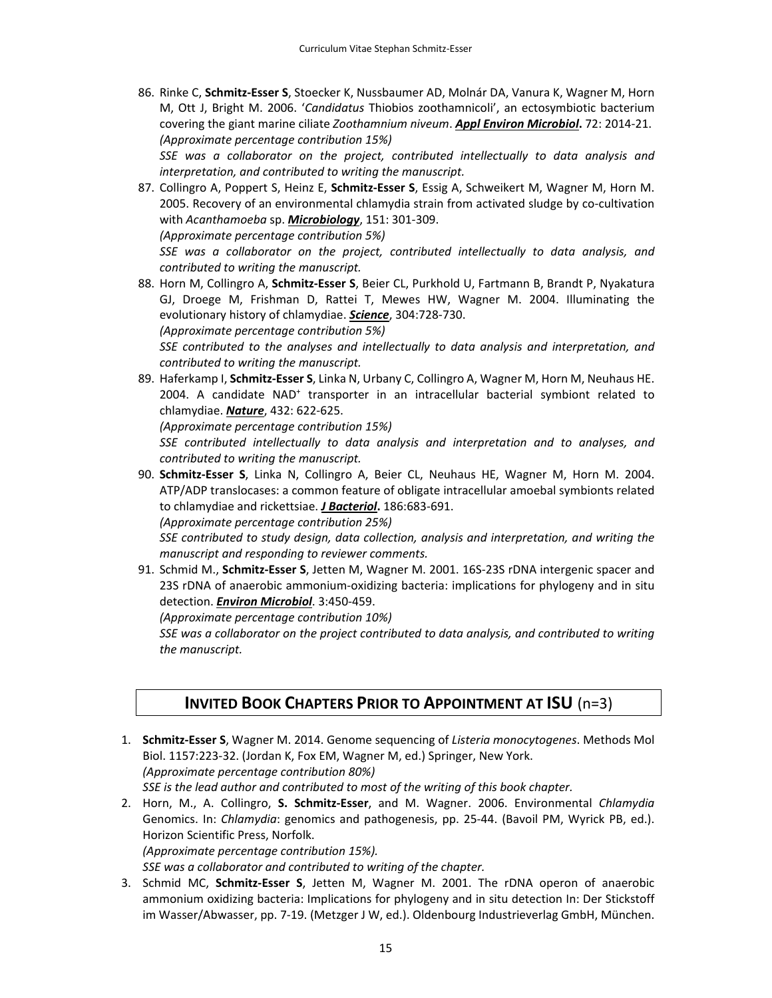86. Rinke C, **Schmitz‐Esser S**, Stoecker K, Nussbaumer AD, Molnár DA, Vanura K, Wagner M, Horn M, Ott J, Bright M. 2006. '*Candidatus* Thiobios zoothamnicoli', an ectosymbiotic bacterium covering the giant marine ciliate *Zoothamnium niveum*. *Appl Environ Microbiol***.** 72: 2014‐21. *(Approximate percentage contribution 15%)*

*SSE was a collaborator on the project, contributed intellectually to data analysis and interpretation, and contributed to writing the manuscript.*

87. Collingro A, Poppert S, Heinz E, **Schmitz‐Esser S**, Essig A, Schweikert M, Wagner M, Horn M. 2005. Recovery of an environmental chlamydia strain from activated sludge by co-cultivation with *Acanthamoeba* sp. *Microbiology*, 151: 301‐309. *(Approximate percentage contribution 5%)*

*SSE was a collaborator on the project, contributed intellectually to data analysis, and contributed to writing the manuscript.*

88. Horn M, Collingro A, **Schmitz‐Esser S**, Beier CL, Purkhold U, Fartmann B, Brandt P, Nyakatura GJ, Droege M, Frishman D, Rattei T, Mewes HW, Wagner M. 2004. Illuminating the evolutionary history of chlamydiae. *Science*, 304:728‐730.

*(Approximate percentage contribution 5%)*

*SSE contributed to the analyses and intellectually to data analysis and interpretation, and contributed to writing the manuscript.*

89. Haferkamp I, **Schmitz‐Esser S**, Linka N, Urbany C, Collingro A, Wagner M, Horn M, Neuhaus HE. 2004. A candidate NAD+ transporter in an intracellular bacterial symbiont related to chlamydiae. *Nature*, 432: 622‐625.

*(Approximate percentage contribution 15%)*

*SSE contributed intellectually to data analysis and interpretation and to analyses, and contributed to writing the manuscript.*

90. **Schmitz‐Esser S**, Linka N, Collingro A, Beier CL, Neuhaus HE, Wagner M, Horn M. 2004. ATP/ADP translocases: a common feature of obligate intracellular amoebal symbionts related to chlamydiae and rickettsiae. *J Bacteriol***.** 186:683‐691.

*(Approximate percentage contribution 25%)*

*SSE contributed to study design, data collection, analysis and interpretation, and writing the manuscript and responding to reviewer comments.*

91. Schmid M., **Schmitz‐Esser S**, Jetten M, Wagner M. 2001. 16S‐23S rDNA intergenic spacer and 23S rDNA of anaerobic ammonium‐oxidizing bacteria: implications for phylogeny and in situ detection. *Environ Microbiol*. 3:450‐459.

*(Approximate percentage contribution 10%)*

*SSE was a collaborator on the project contributed to data analysis, and contributed to writing the manuscript.*

# **INVITED BOOK CHAPTERS PRIOR TO APPOINTMENT AT ISU** (n=3)

- 1. **Schmitz‐Esser S**, Wagner M. 2014. Genome sequencing of *Listeria monocytogenes*. Methods Mol Biol. 1157:223‐32. (Jordan K, Fox EM, Wagner M, ed.) Springer, New York. *(Approximate percentage contribution 80%) SSE is the lead author and contributed to most of the writing of this book chapter.*
- 2. Horn, M., A. Collingro, **S. Schmitz‐Esser**, and M. Wagner. 2006. Environmental *Chlamydia* Genomics. In: *Chlamydia*: genomics and pathogenesis, pp. 25‐44. (Bavoil PM, Wyrick PB, ed.). Horizon Scientific Press, Norfolk. *(Approximate percentage contribution 15%).*

*SSE was a collaborator and contributed to writing of the chapter.*

3. Schmid MC, **Schmitz‐Esser S**, Jetten M, Wagner M. 2001. The rDNA operon of anaerobic ammonium oxidizing bacteria: Implications for phylogeny and in situ detection In: Der Stickstoff im Wasser/Abwasser, pp. 7‐19. (Metzger J W, ed.). Oldenbourg Industrieverlag GmbH, München.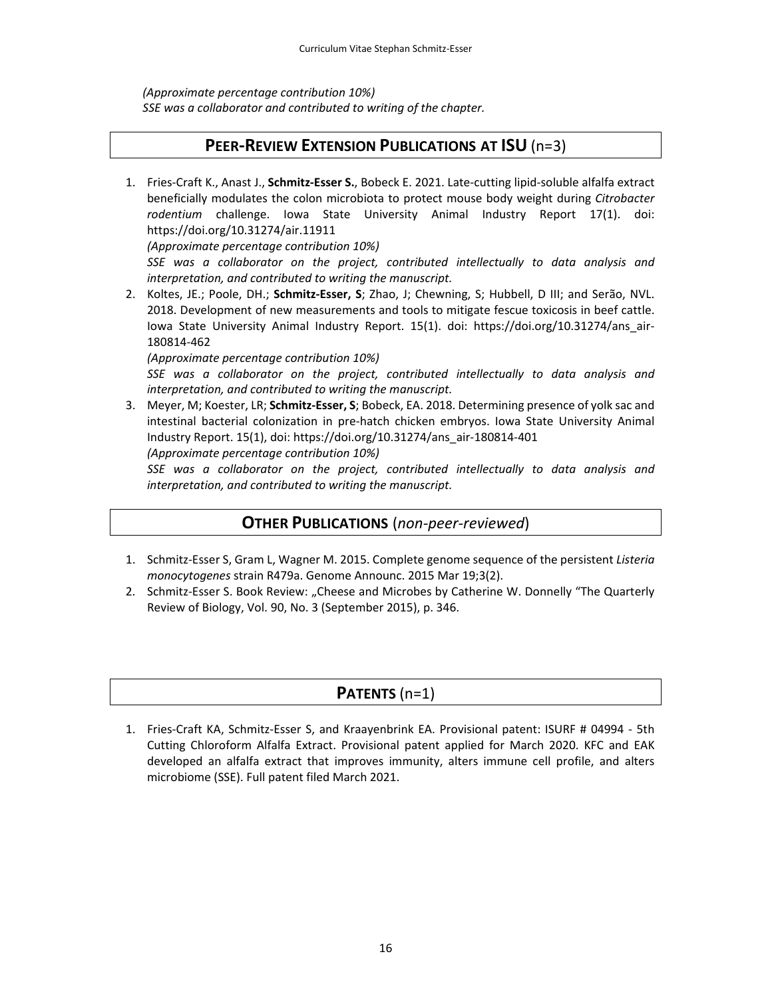*(Approximate percentage contribution 10%) SSE was a collaborator and contributed to writing of the chapter.*

# **PEER‐REVIEW EXTENSION PUBLICATIONS AT ISU** (n=3)

1. Fries‐Craft K., Anast J., **Schmitz‐Esser S.**, Bobeck E. 2021. Late‐cutting lipid‐soluble alfalfa extract beneficially modulates the colon microbiota to protect mouse body weight during *Citrobacter rodentium* challenge. Iowa State University Animal Industry Report 17(1). doi: https://doi.org/10.31274/air.11911

*(Approximate percentage contribution 10%)*

*SSE was a collaborator on the project, contributed intellectually to data analysis and interpretation, and contributed to writing the manuscript.*

2. Koltes, JE.; Poole, DH.; **Schmitz‐Esser, S**; Zhao, J; Chewning, S; Hubbell, D III; and Serão, NVL. 2018. Development of new measurements and tools to mitigate fescue toxicosis in beef cattle. Iowa State University Animal Industry Report. 15(1). doi: https://doi.org/10.31274/ans air-180814‐462

*(Approximate percentage contribution 10%)*

*SSE was a collaborator on the project, contributed intellectually to data analysis and interpretation, and contributed to writing the manuscript.*

3. Meyer, M; Koester, LR; **Schmitz‐Esser, S**; Bobeck, EA. 2018. Determining presence of yolk sac and intestinal bacterial colonization in pre-hatch chicken embryos. Iowa State University Animal Industry Report. 15(1), doi: https://doi.org/10.31274/ans\_air‐180814‐401 *(Approximate percentage contribution 10%)*

*SSE was a collaborator on the project, contributed intellectually to data analysis and interpretation, and contributed to writing the manuscript.*

# **OTHER PUBLICATIONS** (*non‐peer‐reviewed*)

- 1. Schmitz‐Esser S, Gram L, Wagner M. 2015. Complete genome sequence of the persistent *Listeria monocytogenes* strain R479a. Genome Announc. 2015 Mar 19;3(2).
- 2. Schmitz-Esser S. Book Review: "Cheese and Microbes by Catherine W. Donnelly "The Quarterly Review of Biology, Vol. 90, No. 3 (September 2015), p. 346.

# **PATENTS** (n=1)

1. Fries‐Craft KA, Schmitz‐Esser S, and Kraayenbrink EA. Provisional patent: ISURF # 04994 ‐ 5th Cutting Chloroform Alfalfa Extract. Provisional patent applied for March 2020. KFC and EAK developed an alfalfa extract that improves immunity, alters immune cell profile, and alters microbiome (SSE). Full patent filed March 2021.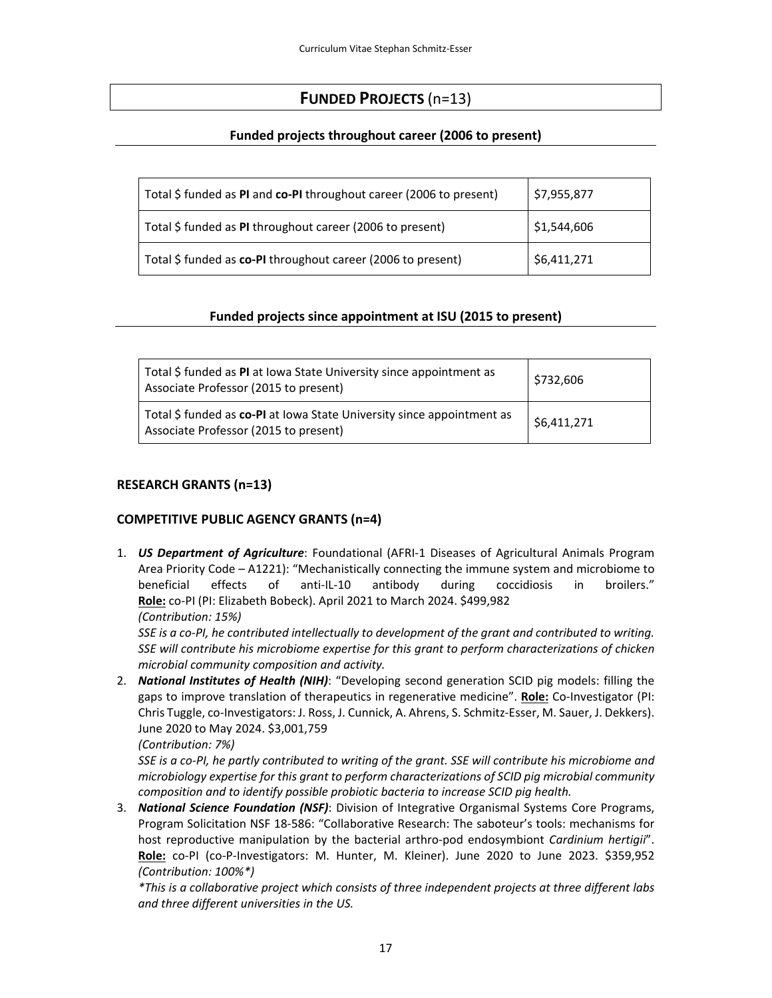# **FUNDED PROJECTS** (n=13)

## **Funded projects throughout career (2006 to present)**

| Total \$ funded as PI and co-PI throughout career (2006 to present) | \$7,955,877 |
|---------------------------------------------------------------------|-------------|
| Total \$ funded as PI throughout career (2006 to present)           | \$1,544,606 |
| Total \$ funded as co-PI throughout career (2006 to present)        | 56,411,271  |

### **Funded projects since appointment at ISU (2015 to present)**

| Total \$ funded as PI at Iowa State University since appointment as<br>Associate Professor (2015 to present)    | \$732,606   |
|-----------------------------------------------------------------------------------------------------------------|-------------|
| Total \$ funded as co-PI at Iowa State University since appointment as<br>Associate Professor (2015 to present) | \$6,411,271 |

### **RESEARCH GRANTS (n=13)**

### **COMPETITIVE PUBLIC AGENCY GRANTS (n=4)**

1. *US Department of Agriculture*: Foundational (AFRI‐1 Diseases of Agricultural Animals Program Area Priority Code – A1221): "Mechanistically connecting the immune system and microbiome to beneficial effects of anti‐IL‐10 antibody during coccidiosis in broilers." **Role:** co‐PI (PI: Elizabeth Bobeck). April 2021 to March 2024. \$499,982 *(Contribution: 15%)*

SSE is a co-PI, he contributed intellectually to development of the grant and contributed to writing. *SSE will contribute his microbiome expertise for this grant to perform characterizations of chicken microbial community composition and activity.*

2. *National Institutes of Health (NIH)*: "Developing second generation SCID pig models: filling the gaps to improve translation of therapeutics in regenerative medicine". **Role:** Co-Investigator (PI: Chris Tuggle, co‐Investigators: J. Ross, J. Cunnick, A. Ahrens, S. Schmitz‐Esser, M. Sauer, J. Dekkers). June 2020 to May 2024. \$3,001,759

*(Contribution: 7%)*

SSE is a co-PI, he partly contributed to writing of the grant. SSE will contribute his microbiome and *microbiology expertise for this grant to perform characterizations of SCID pig microbial community composition and to identify possible probiotic bacteria to increase SCID pig health.*

3. *National Science Foundation (NSF)*: Division of Integrative Organismal Systems Core Programs, Program Solicitation NSF 18‐586: "Collaborative Research: The saboteur's tools: mechanisms for host reproductive manipulation by the bacterial arthro‐pod endosymbiont *Cardinium hertigii*". **Role:** co‐PI (co‐P‐Investigators: M. Hunter, M. Kleiner). June 2020 to June 2023. \$359,952 *(Contribution: 100%\*)*

*\*This is a collaborative project which consists of three independent projects at three different labs and three different universities in the US.*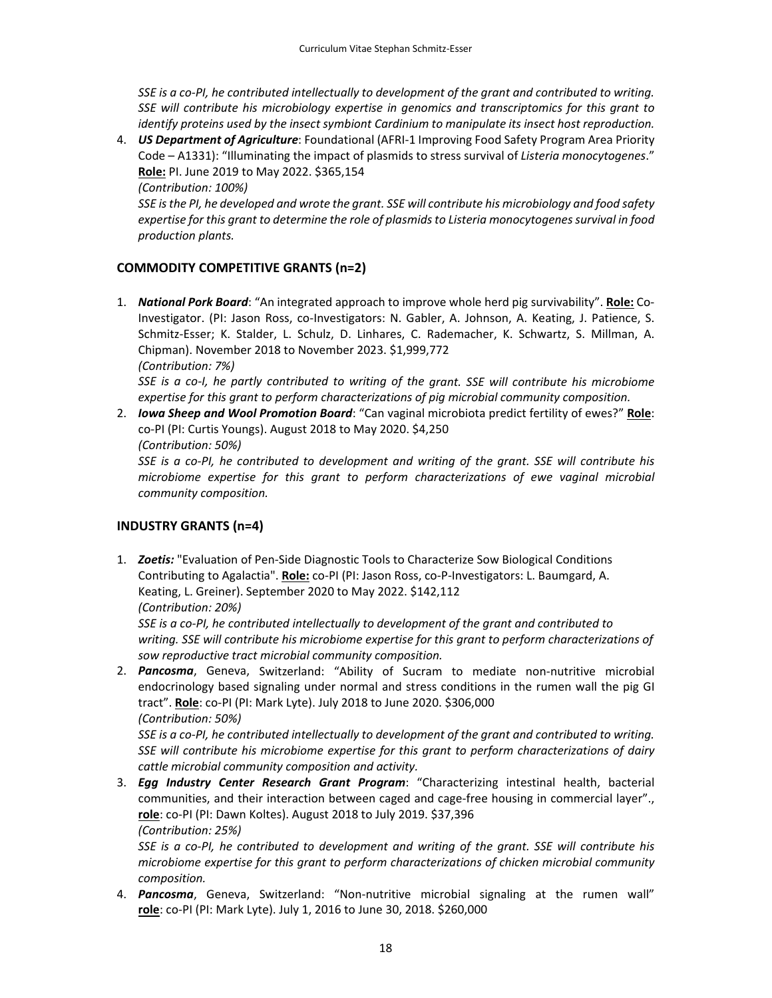SSE is a co-PI, he contributed intellectually to development of the grant and contributed to writing. *SSE will contribute his microbiology expertise in genomics and transcriptomics for this grant to identify proteins used by the insect symbiont Cardinium to manipulate its insect host reproduction.*

4. *US Department of Agriculture*: Foundational (AFRI‐1 Improving Food Safety Program Area Priority Code – A1331): "Illuminating the impact of plasmids to stress survival of *Listeria monocytogenes*." **Role:** PI. June 2019 to May 2022. \$365,154

*(Contribution: 100%)*

*SSE isthe PI, he developed and wrote the grant. SSE will contribute his microbiology and food safety expertise for this grant to determine the role of plasmidsto Listeria monocytogenessurvival in food production plants.*

# **COMMODITY COMPETITIVE GRANTS (n=2)**

1. *National Pork Board*: "An integrated approach to improve whole herd pig survivability". **Role:** Co‐ Investigator. (PI: Jason Ross, co-Investigators: N. Gabler, A. Johnson, A. Keating, J. Patience, S. Schmitz‐Esser; K. Stalder, L. Schulz, D. Linhares, C. Rademacher, K. Schwartz, S. Millman, A. Chipman). November 2018 to November 2023. \$1,999,772 *(Contribution: 7%)*

SSE is a co-I, he partly contributed to writing of the grant. SSE will contribute his microbiome *expertise for this grant to perform characterizations of pig microbial community composition.*

2. *Iowa Sheep and Wool Promotion Board*: "Can vaginal microbiota predict fertility of ewes?" **Role**: co‐PI (PI: Curtis Youngs). August 2018 to May 2020. \$4,250

*(Contribution: 50%)*

SSE is a co-PI, he contributed to development and writing of the grant. SSE will contribute his *microbiome expertise for this grant to perform characterizations of ewe vaginal microbial community composition.*

## **INDUSTRY GRANTS (n=4)**

1. *Zoetis:* "Evaluation of Pen‐Side Diagnostic Tools to Characterize Sow Biological Conditions Contributing to Agalactia". **Role:** co‐PI (PI: Jason Ross, co‐P‐Investigators: L. Baumgard, A. Keating, L. Greiner). September 2020 to May 2022. \$142,112

*(Contribution: 20%)*

*SSE is a co‐PI, he contributed intellectually to development of the grant and contributed to writing. SSE will contribute his microbiome expertise for this grant to perform characterizations of sow reproductive tract microbial community composition.*

2. *Pancosma*, Geneva, Switzerland: "Ability of Sucram to mediate non‐nutritive microbial endocrinology based signaling under normal and stress conditions in the rumen wall the pig GI tract". **Role**: co‐PI (PI: Mark Lyte). July 2018 to June 2020. \$306,000 *(Contribution: 50%)*

SSE is a co-PI, he contributed intellectually to development of the grant and contributed to writing. *SSE will contribute his microbiome expertise for this grant to perform characterizations of dairy cattle microbial community composition and activity.*

3. *Egg Industry Center Research Grant Program*: "Characterizing intestinal health, bacterial communities, and their interaction between caged and cage‐free housing in commercial layer"., **role**: co‐PI (PI: Dawn Koltes). August 2018 to July 2019. \$37,396 *(Contribution: 25%)*

SSE is a co-PI, he contributed to development and writing of the grant. SSE will contribute his *microbiome expertise for this grant to perform characterizations of chicken microbial community composition.*

4. **Pancosma**, Geneva, Switzerland: "Non-nutritive microbial signaling at the rumen wall" **role**: co‐PI (PI: Mark Lyte). July 1, 2016 to June 30, 2018. \$260,000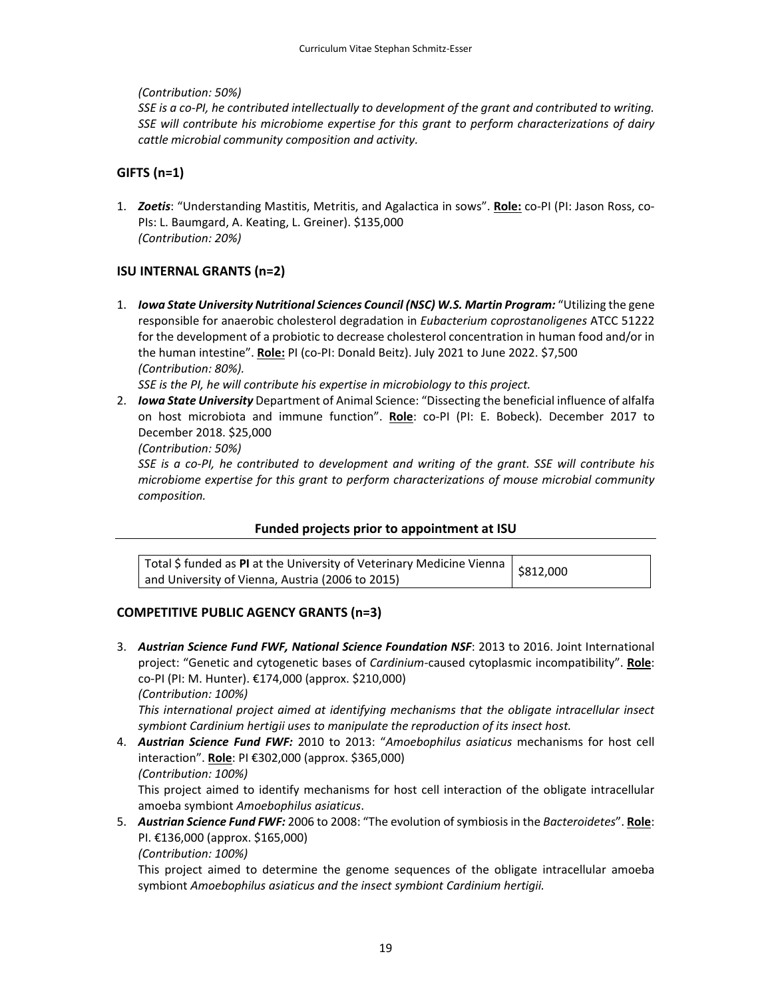*(Contribution: 50%)*

SSE is a co-PI, he contributed intellectually to development of the grant and contributed to writing. *SSE will contribute his microbiome expertise for this grant to perform characterizations of dairy cattle microbial community composition and activity.*

## **GIFTS (n=1)**

1. *Zoetis*: "Understanding Mastitis, Metritis, and Agalactica in sows". **Role:** co‐PI (PI: Jason Ross, co‐ PIs: L. Baumgard, A. Keating, L. Greiner). \$135,000 *(Contribution: 20%)*

## **ISU INTERNAL GRANTS (n=2)**

1. *Iowa State University Nutritional Sciences Council (NSC) W.S. Martin Program:* "Utilizing the gene responsible for anaerobic cholesterol degradation in *Eubacterium coprostanoligenes* ATCC 51222 for the development of a probiotic to decrease cholesterol concentration in human food and/or in the human intestine". **Role:** PI (co‐PI: Donald Beitz). July 2021 to June 2022. \$7,500 *(Contribution: 80%).* 

*SSE is the PI, he will contribute his expertise in microbiology to this project.*

2. *Iowa State University* Department of Animal Science: "Dissecting the beneficial influence of alfalfa on host microbiota and immune function". **Role**: co‐PI (PI: E. Bobeck). December 2017 to December 2018. \$25,000

*(Contribution: 50%)*

SSE is a co-PI, he contributed to development and writing of the grant. SSE will contribute his *microbiome expertise for this grant to perform characterizations of mouse microbial community composition.*

### **Funded projects prior to appointment at ISU**

| otal S funded as PI at the University of Veterinary Medicine Vienna $\vert$ \$812,000 |  |
|---------------------------------------------------------------------------------------|--|
| and University of Vienna, Austria (2006 to 2015)                                      |  |

## **COMPETITIVE PUBLIC AGENCY GRANTS (n=3)**

3. *Austrian Science Fund FWF, National Science Foundation NSF*: 2013 to 2016. Joint International project: "Genetic and cytogenetic bases of *Cardinium*‐caused cytoplasmic incompatibility". **Role**: co‐PI (PI: M. Hunter). €174,000 (approx. \$210,000)

*(Contribution: 100%)*

*This international project aimed at identifying mechanisms that the obligate intracellular insect symbiont Cardinium hertigii uses to manipulate the reproduction of its insect host.*

4. *Austrian Science Fund FWF:* 2010 to 2013: "*Amoebophilus asiaticus* mechanisms for host cell interaction". **Role**: PI €302,000 (approx. \$365,000) *(Contribution: 100%)*

This project aimed to identify mechanisms for host cell interaction of the obligate intracellular amoeba symbiont *Amoebophilus asiaticus*.

5. *Austrian Science Fund FWF:* 2006 to 2008: "The evolution ofsymbiosis in the *Bacteroidetes*". **Role**: PI. €136,000 (approx. \$165,000)

*(Contribution: 100%)*

This project aimed to determine the genome sequences of the obligate intracellular amoeba symbiont *Amoebophilus asiaticus and the insect symbiont Cardinium hertigii.*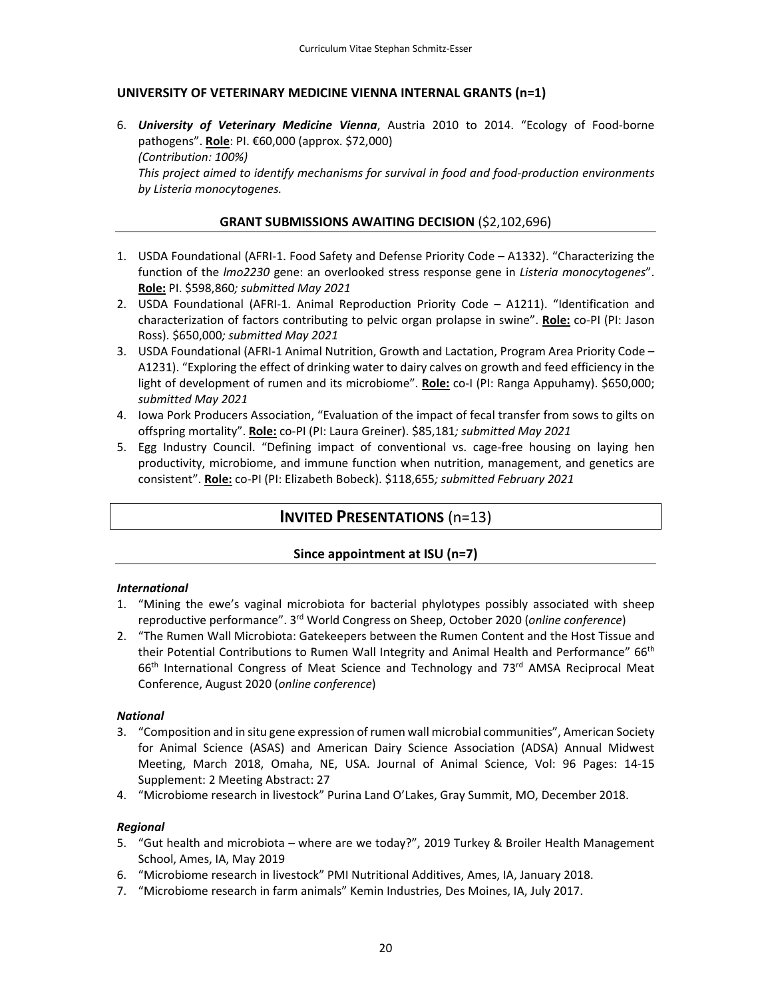## **UNIVERSITY OF VETERINARY MEDICINE VIENNA INTERNAL GRANTS (n=1)**

6. *University of Veterinary Medicine Vienna*, Austria 2010 to 2014. "Ecology of Food‐borne pathogens". **Role**: PI. €60,000 (approx. \$72,000) *(Contribution: 100%)*

*This project aimed to identify mechanisms for survival in food and food‐production environments by Listeria monocytogenes.*

### **GRANT SUBMISSIONS AWAITING DECISION** (\$2,102,696)

- 1. USDA Foundational (AFRI-1. Food Safety and Defense Priority Code A1332). "Characterizing the function of the *lmo2230* gene: an overlooked stress response gene in *Listeria monocytogenes*". **Role:** PI. \$598,860*; submitted May 2021*
- 2. USDA Foundational (AFRI‐1. Animal Reproduction Priority Code A1211). "Identification and characterization of factors contributing to pelvic organ prolapse in swine". **Role:** co‐PI (PI: Jason Ross). \$650,000*; submitted May 2021*
- 3. USDA Foundational (AFRI-1 Animal Nutrition, Growth and Lactation, Program Area Priority Code A1231). "Exploring the effect of drinking water to dairy calves on growth and feed efficiency in the light of development of rumen and its microbiome". **Role:** co-I (PI: Ranga Appuhamy). \$650,000; *submitted May 2021*
- 4. Iowa Pork Producers Association, "Evaluation of the impact of fecal transfer from sows to gilts on offspring mortality". **Role:** co‐PI (PI: Laura Greiner). \$85,181*; submitted May 2021*
- 5. Egg Industry Council. "Defining impact of conventional vs. cage-free housing on laying hen productivity, microbiome, and immune function when nutrition, management, and genetics are consistent". **Role:** co‐PI (PI: Elizabeth Bobeck). \$118,655*; submitted February 2021*

# **INVITED PRESENTATIONS** (n=13)

### **Since appointment at ISU (n=7)**

#### *International*

- 1. "Mining the ewe's vaginal microbiota for bacterial phylotypes possibly associated with sheep reproductive performance". 3rd World Congress on Sheep, October 2020 (*online conference*)
- 2. "The Rumen Wall Microbiota: Gatekeepers between the Rumen Content and the Host Tissue and their Potential Contributions to Rumen Wall Integrity and Animal Health and Performance" 66<sup>th</sup> 66<sup>th</sup> International Congress of Meat Science and Technology and 73<sup>rd</sup> AMSA Reciprocal Meat Conference, August 2020 (*online conference*)

#### *National*

- 3. "Composition and in situ gene expression ofrumen wall microbial communities", American Society for Animal Science (ASAS) and American Dairy Science Association (ADSA) Annual Midwest Meeting, March 2018, Omaha, NE, USA. Journal of Animal Science, Vol: 96 Pages: 14‐15 Supplement: 2 Meeting Abstract: 27
- 4. "Microbiome research in livestock" Purina Land O'Lakes, Gray Summit, MO, December 2018.

### *Regional*

- 5. "Gut health and microbiota where are we today?", 2019 Turkey & Broiler Health Management School, Ames, IA, May 2019
- 6. "Microbiome research in livestock" PMI Nutritional Additives, Ames, IA, January 2018.
- 7. "Microbiome research in farm animals" Kemin Industries, Des Moines, IA, July 2017.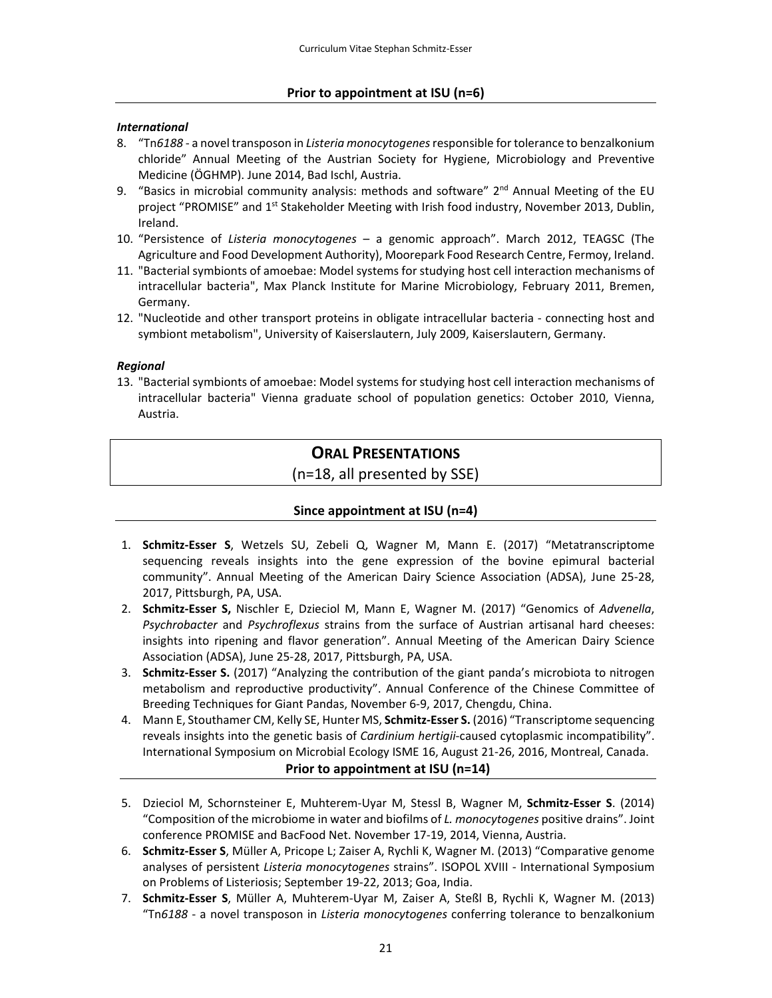### *International*

- 8. "Tn*6188* ‐ a noveltransposon in *Listeria monocytogenes*responsible fortolerance to benzalkonium chloride" Annual Meeting of the Austrian Society for Hygiene, Microbiology and Preventive Medicine (ÖGHMP). June 2014, Bad Ischl, Austria.
- 9. "Basics in microbial community analysis: methods and software"  $2<sup>nd</sup>$  Annual Meeting of the EU project "PROMISE" and 1<sup>st</sup> Stakeholder Meeting with Irish food industry, November 2013, Dublin, Ireland.
- 10. "Persistence of *Listeria monocytogenes* a genomic approach". March 2012, TEAGSC (The Agriculture and Food Development Authority), Moorepark Food Research Centre, Fermoy, Ireland.
- 11. "Bacterial symbionts of amoebae: Model systems for studying host cell interaction mechanisms of intracellular bacteria", Max Planck Institute for Marine Microbiology, February 2011, Bremen, Germany.
- 12. "Nucleotide and other transport proteins in obligate intracellular bacteria ‐ connecting host and symbiont metabolism", University of Kaiserslautern, July 2009, Kaiserslautern, Germany.

### *Regional*

13. "Bacterial symbionts of amoebae: Model systems for studying host cell interaction mechanisms of intracellular bacteria" Vienna graduate school of population genetics: October 2010, Vienna, Austria.

## **ORAL PRESENTATIONS**

(n=18, all presented by SSE)

## **Since appointment at ISU (n=4)**

- 1. **Schmitz‐Esser S**, Wetzels SU, Zebeli Q, Wagner M, Mann E. (2017) "Metatranscriptome sequencing reveals insights into the gene expression of the bovine epimural bacterial community". Annual Meeting of the American Dairy Science Association (ADSA), June 25‐28, 2017, Pittsburgh, PA, USA.
- 2. **Schmitz‐Esser S,** Nischler E, Dzieciol M, Mann E, Wagner M. (2017) "Genomics of *Advenella*, *Psychrobacter* and *Psychroflexus* strains from the surface of Austrian artisanal hard cheeses: insights into ripening and flavor generation". Annual Meeting of the American Dairy Science Association (ADSA), June 25‐28, 2017, Pittsburgh, PA, USA.
- 3. **Schmitz‐Esser S.** (2017) "Analyzing the contribution of the giant panda's microbiota to nitrogen metabolism and reproductive productivity". Annual Conference of the Chinese Committee of Breeding Techniques for Giant Pandas, November 6‐9, 2017, Chengdu, China.
- 4. Mann E, Stouthamer CM, Kelly SE, Hunter MS, **Schmitz‐Esser S.** (2016) "Transcriptome sequencing reveals insights into the genetic basis of *Cardinium hertigii*‐caused cytoplasmic incompatibility". International Symposium on Microbial Ecology ISME 16, August 21‐26, 2016, Montreal, Canada.

## **Prior to appointment at ISU (n=14)**

- 5. Dzieciol M, Schornsteiner E, Muhterem‐Uyar M, Stessl B, Wagner M, **Schmitz‐Esser S**. (2014) "Composition of the microbiome in water and biofilms of *L. monocytogenes* positive drains". Joint conference PROMISE and BacFood Net. November 17‐19, 2014, Vienna, Austria.
- 6. **Schmitz‐Esser S**, Müller A, Pricope L; Zaiser A, Rychli K, Wagner M. (2013) "Comparative genome analyses of persistent *Listeria monocytogenes* strains". ISOPOL XVIII ‐ International Symposium on Problems of Listeriosis; September 19‐22, 2013; Goa, India.
- 7. **Schmitz‐Esser S**, Müller A, Muhterem‐Uyar M, Zaiser A, Steßl B, Rychli K, Wagner M. (2013) "Tn*6188* ‐ a novel transposon in *Listeria monocytogenes* conferring tolerance to benzalkonium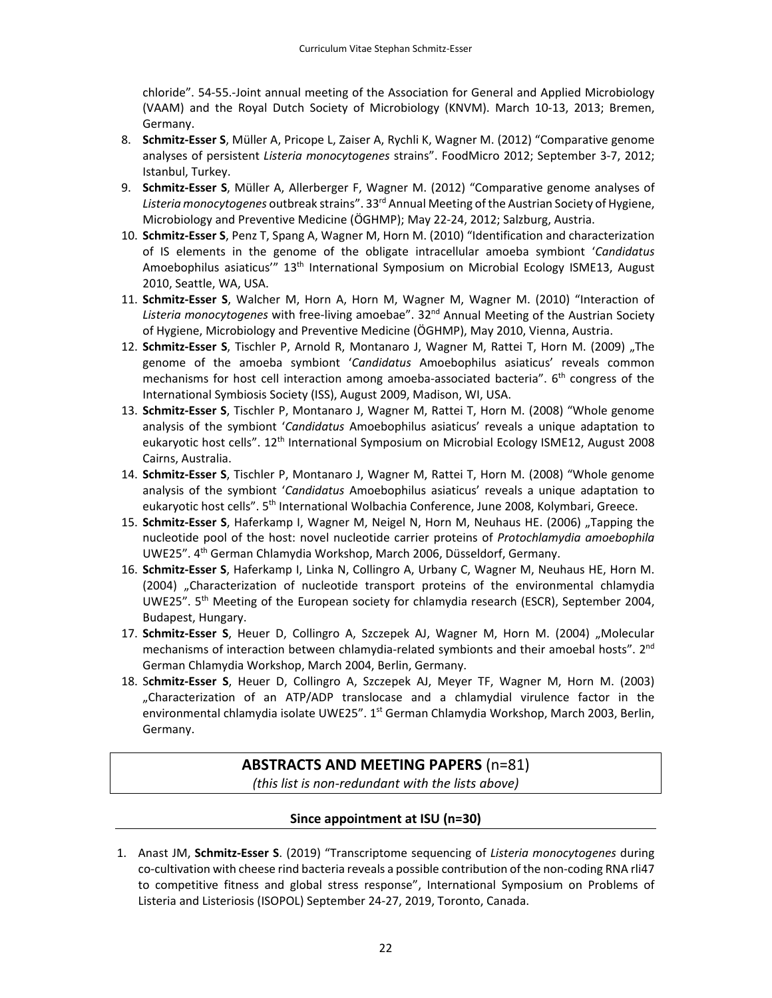chloride". 54‐55.‐Joint annual meeting of the Association for General and Applied Microbiology (VAAM) and the Royal Dutch Society of Microbiology (KNVM). March 10‐13, 2013; Bremen, Germany.

- 8. **Schmitz‐Esser S**, Müller A, Pricope L, Zaiser A, Rychli K, Wagner M. (2012) "Comparative genome analyses of persistent *Listeria monocytogenes* strains". FoodMicro 2012; September 3‐7, 2012; Istanbul, Turkey.
- 9. **Schmitz‐Esser S**, Müller A, Allerberger F, Wagner M. (2012) "Comparative genome analyses of *Listeria monocytogenes* outbreak strains". 33rd Annual Meeting ofthe Austrian Society of Hygiene, Microbiology and Preventive Medicine (ÖGHMP); May 22‐24, 2012; Salzburg, Austria.
- 10. **Schmitz‐Esser S**, Penz T, Spang A, Wagner M, Horn M. (2010) "Identification and characterization of IS elements in the genome of the obligate intracellular amoeba symbiont '*Candidatus* Amoebophilus asiaticus" 13<sup>th</sup> International Symposium on Microbial Ecology ISME13, August 2010, Seattle, WA, USA.
- 11. **Schmitz‐Esser S**, Walcher M, Horn A, Horn M, Wagner M, Wagner M. (2010) "Interaction of *Listeria monocytogenes* with free‐living amoebae". 32nd Annual Meeting of the Austrian Society of Hygiene, Microbiology and Preventive Medicine (ÖGHMP), May 2010, Vienna, Austria.
- 12. **Schmitz-Esser S**, Tischler P, Arnold R, Montanaro J, Wagner M, Rattei T, Horn M. (2009) "The genome of the amoeba symbiont '*Candidatus* Amoebophilus asiaticus' reveals common mechanisms for host cell interaction among amoeba-associated bacteria".  $6<sup>th</sup>$  congress of the International Symbiosis Society (ISS), August 2009, Madison, WI, USA.
- 13. **Schmitz‐Esser S**, Tischler P, Montanaro J, Wagner M, Rattei T, Horn M. (2008) "Whole genome analysis of the symbiont '*Candidatus* Amoebophilus asiaticus' reveals a unique adaptation to eukaryotic host cells". 12th International Symposium on Microbial Ecology ISME12, August 2008 Cairns, Australia.
- 14. **Schmitz‐Esser S**, Tischler P, Montanaro J, Wagner M, Rattei T, Horn M. (2008) "Whole genome analysis of the symbiont '*Candidatus* Amoebophilus asiaticus' reveals a unique adaptation to eukaryotic host cells". 5<sup>th</sup> International Wolbachia Conference, June 2008, Kolymbari, Greece.
- 15. **Schmitz-Esser S, Haferkamp I, Wagner M, Neigel N, Horn M, Neuhaus HE. (2006) "Tapping the** nucleotide pool of the host: novel nucleotide carrier proteins of *Protochlamydia amoebophila* UWE25". 4th German Chlamydia Workshop, March 2006, Düsseldorf, Germany.
- 16. **Schmitz‐Esser S**, Haferkamp I, Linka N, Collingro A, Urbany C, Wagner M, Neuhaus HE, Horn M. (2004) "Characterization of nucleotide transport proteins of the environmental chlamydia UWE25". 5th Meeting of the European society for chlamydia research (ESCR), September 2004, Budapest, Hungary.
- 17. **Schmitz-Esser S**, Heuer D, Collingro A, Szczepek AJ, Wagner M, Horn M. (2004) "Molecular mechanisms of interaction between chlamydia-related symbionts and their amoebal hosts". 2<sup>nd</sup> German Chlamydia Workshop, March 2004, Berlin, Germany.
- 18. S**chmitz‐Esser S**, Heuer D, Collingro A, Szczepek AJ, Meyer TF, Wagner M, Horn M. (2003) "Characterization of an ATP/ADP translocase and a chlamydial virulence factor in the environmental chlamydia isolate UWE25". 1<sup>st</sup> German Chlamydia Workshop, March 2003, Berlin, Germany.

# **ABSTRACTS AND MEETING PAPERS** (n=81)

*(this list is non‐redundant with the lists above)*

## **Since appointment at ISU (n=30)**

1. Anast JM, **Schmitz‐Esser S**. (2019) "Transcriptome sequencing of *Listeria monocytogenes* during co-cultivation with cheese rind bacteria reveals a possible contribution of the non-coding RNA rli47 to competitive fitness and global stress response", International Symposium on Problems of Listeria and Listeriosis (ISOPOL) September 24‐27, 2019, Toronto, Canada.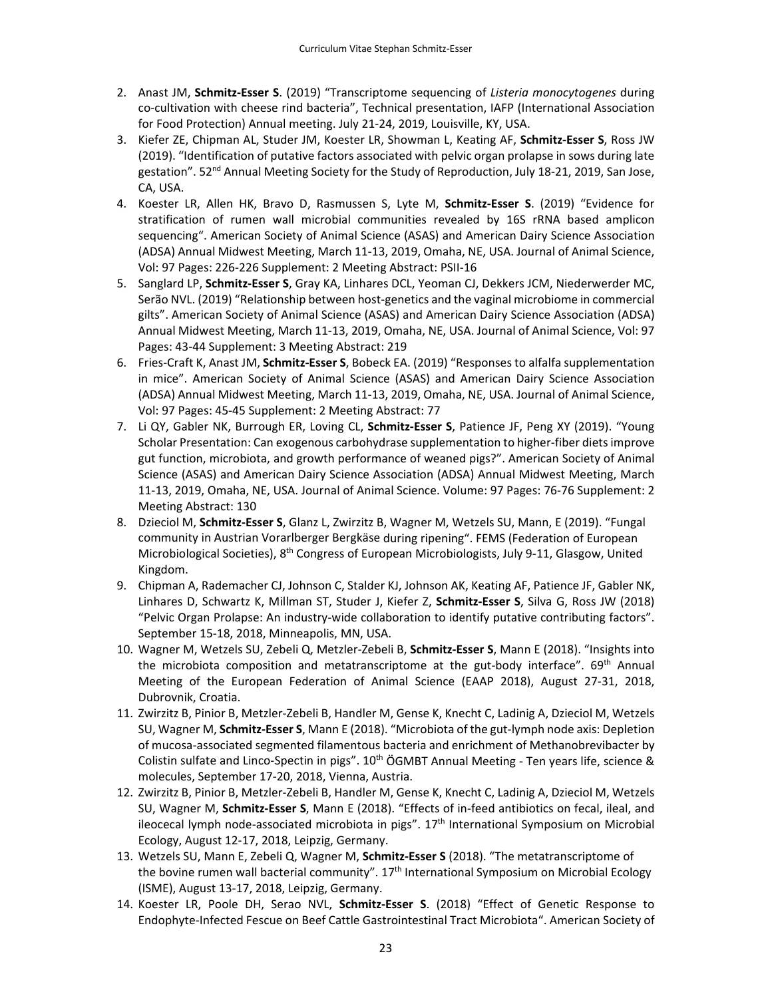- 2. Anast JM, **Schmitz‐Esser S**. (2019) "Transcriptome sequencing of *Listeria monocytogenes* during co-cultivation with cheese rind bacteria", Technical presentation, IAFP (International Association for Food Protection) Annual meeting. July 21‐24, 2019, Louisville, KY, USA.
- 3. Kiefer ZE, Chipman AL, Studer JM, Koester LR, Showman L, Keating AF, **Schmitz‐Esser S**, Ross JW (2019). "Identification of putative factors associated with pelvic organ prolapse in sows during late gestation". 52<sup>nd</sup> Annual Meeting Society for the Study of Reproduction, July 18-21, 2019, San Jose, CA, USA.
- 4. Koester LR, Allen HK, Bravo D, Rasmussen S, Lyte M, **Schmitz‐Esser S**. (2019) "Evidence for stratification of rumen wall microbial communities revealed by 16S rRNA based amplicon sequencing". American Society of Animal Science (ASAS) and American Dairy Science Association (ADSA) Annual Midwest Meeting, March 11‐13, 2019, Omaha, NE, USA. Journal of Animal Science, Vol: 97 Pages: 226‐226 Supplement: 2 Meeting Abstract: PSII‐16
- 5. Sanglard LP, **Schmitz‐Esser S**, Gray KA, Linhares DCL, Yeoman CJ, Dekkers JCM, Niederwerder MC, Serão NVL. (2019) "Relationship between host-genetics and the vaginal microbiome in commercial gilts". American Society of Animal Science (ASAS) and American Dairy Science Association (ADSA) Annual Midwest Meeting, March 11‐13, 2019, Omaha, NE, USA. Journal of Animal Science, Vol: 97 Pages: 43‐44 Supplement: 3 Meeting Abstract: 219
- 6. Fries‐Craft K, Anast JM, **Schmitz‐Esser S**, Bobeck EA. (2019) "Responses to alfalfa supplementation in mice". American Society of Animal Science (ASAS) and American Dairy Science Association (ADSA) Annual Midwest Meeting, March 11‐13, 2019, Omaha, NE, USA. Journal of Animal Science, Vol: 97 Pages: 45‐45 Supplement: 2 Meeting Abstract: 77
- 7. Li QY, Gabler NK, Burrough ER, Loving CL, **Schmitz‐Esser S**, Patience JF, Peng XY (2019). "Young Scholar Presentation: Can exogenous carbohydrase supplementation to higher-fiber diets improve gut function, microbiota, and growth performance of weaned pigs?". American Society of Animal Science (ASAS) and American Dairy Science Association (ADSA) Annual Midwest Meeting, March 11‐13, 2019, Omaha, NE, USA. Journal of Animal Science. Volume: 97 Pages: 76‐76 Supplement: 2 Meeting Abstract: 130
- 8. Dzieciol M, **Schmitz‐Esser S**, Glanz L, Zwirzitz B, Wagner M, Wetzels SU, Mann, E (2019). "Fungal community in Austrian Vorarlberger Bergkäse during ripening". FEMS (Federation of European Microbiological Societies), 8<sup>th</sup> Congress of European Microbiologists, July 9-11, Glasgow, United Kingdom.
- 9. Chipman A, Rademacher CJ, Johnson C, Stalder KJ, Johnson AK, Keating AF, Patience JF, Gabler NK, Linhares D, Schwartz K, Millman ST, Studer J, Kiefer Z, **Schmitz‐Esser S**, Silva G, Ross JW (2018) "Pelvic Organ Prolapse: An industry‐wide collaboration to identify putative contributing factors". September 15‐18, 2018, Minneapolis, MN, USA.
- 10. Wagner M, Wetzels SU, Zebeli Q, Metzler‐Zebeli B, **Schmitz‐Esser S**, Mann E (2018). "Insights into the microbiota composition and metatranscriptome at the gut-body interface". 69<sup>th</sup> Annual Meeting of the European Federation of Animal Science (EAAP 2018), August 27‐31, 2018, Dubrovnik, Croatia.
- 11. Zwirzitz B, Pinior B, Metzler‐Zebeli B, Handler M, Gense K, Knecht C, Ladinig A, Dzieciol M, Wetzels SU, Wagner M, **Schmitz‐Esser S**, Mann E (2018). "Microbiota of the gut‐lymph node axis: Depletion of mucosa‐associated segmented filamentous bacteria and enrichment of Methanobrevibacter by Colistin sulfate and Linco-Spectin in pigs".  $10<sup>th</sup>$  ÖGMBT Annual Meeting - Ten years life, science & molecules, September 17‐20, 2018, Vienna, Austria.
- 12. Zwirzitz B, Pinior B, Metzler‐Zebeli B, Handler M, Gense K, Knecht C, Ladinig A, Dzieciol M, Wetzels SU, Wagner M, **Schmitz‐Esser S**, Mann E (2018). "Effects of in‐feed antibiotics on fecal, ileal, and ileocecal lymph node-associated microbiota in pigs". 17<sup>th</sup> International Symposium on Microbial Ecology, August 12‐17, 2018, Leipzig, Germany.
- 13. Wetzels SU, Mann E, Zebeli Q, Wagner M, **Schmitz‐Esser S** (2018). "The metatranscriptome of the bovine rumen wall bacterial community".  $17<sup>th</sup>$  International Symposium on Microbial Ecology (ISME), August 13‐17, 2018, Leipzig, Germany.
- 14. Koester LR, Poole DH, Serao NVL, **Schmitz‐Esser S**. (2018) "Effect of Genetic Response to Endophyte‐Infected Fescue on Beef Cattle Gastrointestinal Tract Microbiota". American Society of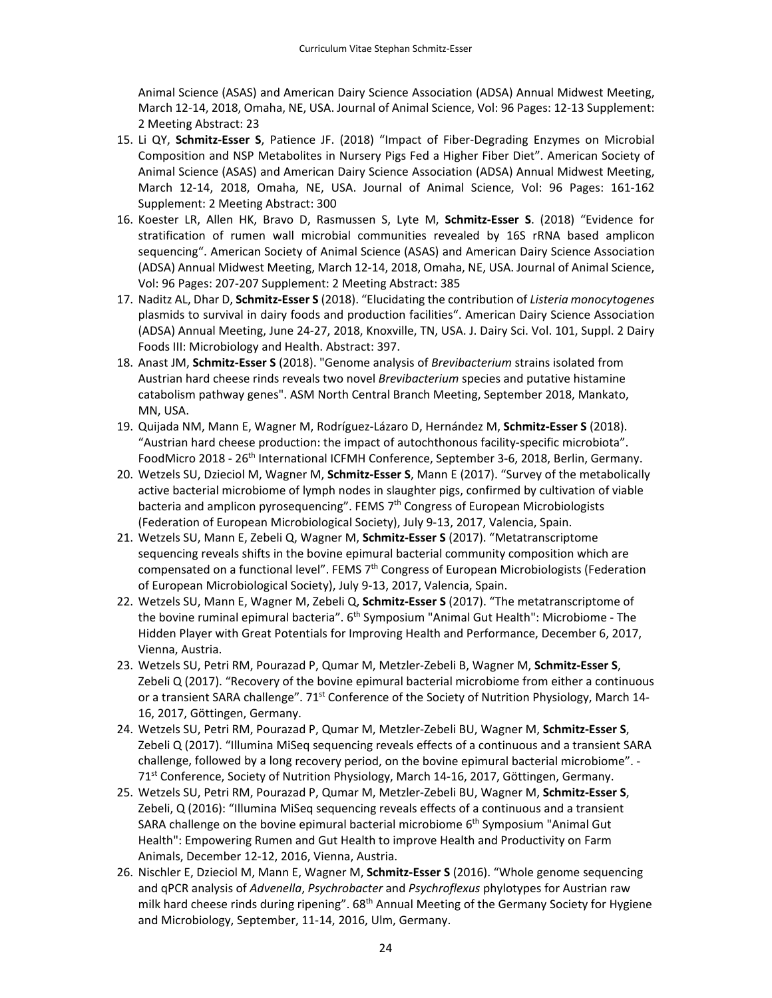Animal Science (ASAS) and American Dairy Science Association (ADSA) Annual Midwest Meeting, March 12‐14, 2018, Omaha, NE, USA. Journal of Animal Science, Vol: 96 Pages: 12‐13 Supplement: 2 Meeting Abstract: 23

- 15. Li QY, **Schmitz‐Esser S**, Patience JF. (2018) "Impact of Fiber‐Degrading Enzymes on Microbial Composition and NSP Metabolites in Nursery Pigs Fed a Higher Fiber Diet". American Society of Animal Science (ASAS) and American Dairy Science Association (ADSA) Annual Midwest Meeting, March 12‐14, 2018, Omaha, NE, USA. Journal of Animal Science, Vol: 96 Pages: 161‐162 Supplement: 2 Meeting Abstract: 300
- 16. Koester LR, Allen HK, Bravo D, Rasmussen S, Lyte M, **Schmitz‐Esser S**. (2018) "Evidence for stratification of rumen wall microbial communities revealed by 16S rRNA based amplicon sequencing". American Society of Animal Science (ASAS) and American Dairy Science Association (ADSA) Annual Midwest Meeting, March 12‐14, 2018, Omaha, NE, USA. Journal of Animal Science, Vol: 96 Pages: 207‐207 Supplement: 2 Meeting Abstract: 385
- 17. Naditz AL, Dhar D, **Schmitz‐Esser S** (2018). "Elucidating the contribution of *Listeria monocytogenes* plasmids to survival in dairy foods and production facilities". American Dairy Science Association (ADSA) Annual Meeting, June 24‐27, 2018, Knoxville, TN, USA. J. Dairy Sci. Vol. 101, Suppl. 2 Dairy Foods III: Microbiology and Health. Abstract: 397.
- 18. Anast JM, **Schmitz‐Esser S** (2018). "Genome analysis of *Brevibacterium* strains isolated from Austrian hard cheese rinds reveals two novel *Brevibacterium* species and putative histamine catabolism pathway genes". ASM North Central Branch Meeting, September 2018, Mankato, MN, USA.
- 19. Quijada NM, Mann E, Wagner M, Rodríguez‐Lázaro D, Hernández M, **Schmitz‐Esser S** (2018). "Austrian hard cheese production: the impact of autochthonous facility‐specific microbiota". FoodMicro 2018 - 26<sup>th</sup> International ICFMH Conference, September 3-6, 2018, Berlin, Germany.
- 20. Wetzels SU, Dzieciol M, Wagner M, **Schmitz‐Esser S**, Mann E (2017). "Survey of the metabolically active bacterial microbiome of lymph nodes in slaughter pigs, confirmed by cultivation of viable bacteria and amplicon pyrosequencing". FEMS 7<sup>th</sup> Congress of European Microbiologists (Federation of European Microbiological Society), July 9‐13, 2017, Valencia, Spain.
- 21. Wetzels SU, Mann E, Zebeli Q, Wagner M, **Schmitz‐Esser S** (2017). "Metatranscriptome sequencing reveals shifts in the bovine epimural bacterial community composition which are compensated on a functional level". FEMS  $7<sup>th</sup>$  Congress of European Microbiologists (Federation of European Microbiological Society), July 9‐13, 2017, Valencia, Spain.
- 22. Wetzels SU, Mann E, Wagner M, Zebeli Q, **Schmitz‐Esser S** (2017). "The metatranscriptome of the bovine ruminal epimural bacteria". 6<sup>th</sup> Symposium "Animal Gut Health": Microbiome - The Hidden Player with Great Potentials for Improving Health and Performance, December 6, 2017, Vienna, Austria.
- 23. Wetzels SU, Petri RM, Pourazad P, Qumar M, Metzler‐Zebeli B, Wagner M, **Schmitz‐Esser S**, Zebeli Q (2017). "Recovery of the bovine epimural bacterial microbiome from either a continuous or a transient SARA challenge". 71<sup>st</sup> Conference of the Society of Nutrition Physiology, March 14-16, 2017, Göttingen, Germany.
- 24. Wetzels SU, Petri RM, Pourazad P, Qumar M, Metzler‐Zebeli BU, Wagner M, **Schmitz‐Esser S**, Zebeli Q (2017). "Illumina MiSeq sequencing reveals effects of a continuous and a transient SARA challenge, followed by a long recovery period, on the bovine epimural bacterial microbiome". ‐ 71<sup>st</sup> Conference, Society of Nutrition Physiology, March 14-16, 2017, Göttingen, Germany.
- 25. Wetzels SU, Petri RM, Pourazad P, Qumar M, Metzler‐Zebeli BU, Wagner M, **Schmitz‐Esser S**, Zebeli, Q (2016): "Illumina MiSeq sequencing reveals effects of a continuous and a transient SARA challenge on the bovine epimural bacterial microbiome  $6<sup>th</sup>$  Symposium "Animal Gut Health": Empowering Rumen and Gut Health to improve Health and Productivity on Farm Animals, December 12‐12, 2016, Vienna, Austria.
- 26. Nischler E, Dzieciol M, Mann E, Wagner M, **Schmitz‐Esser S** (2016). "Whole genome sequencing and qPCR analysis of *Advenella*, *Psychrobacter* and *Psychroflexus* phylotypes for Austrian raw milk hard cheese rinds during ripening".  $68<sup>th</sup>$  Annual Meeting of the Germany Society for Hygiene and Microbiology, September, 11‐14, 2016, Ulm, Germany.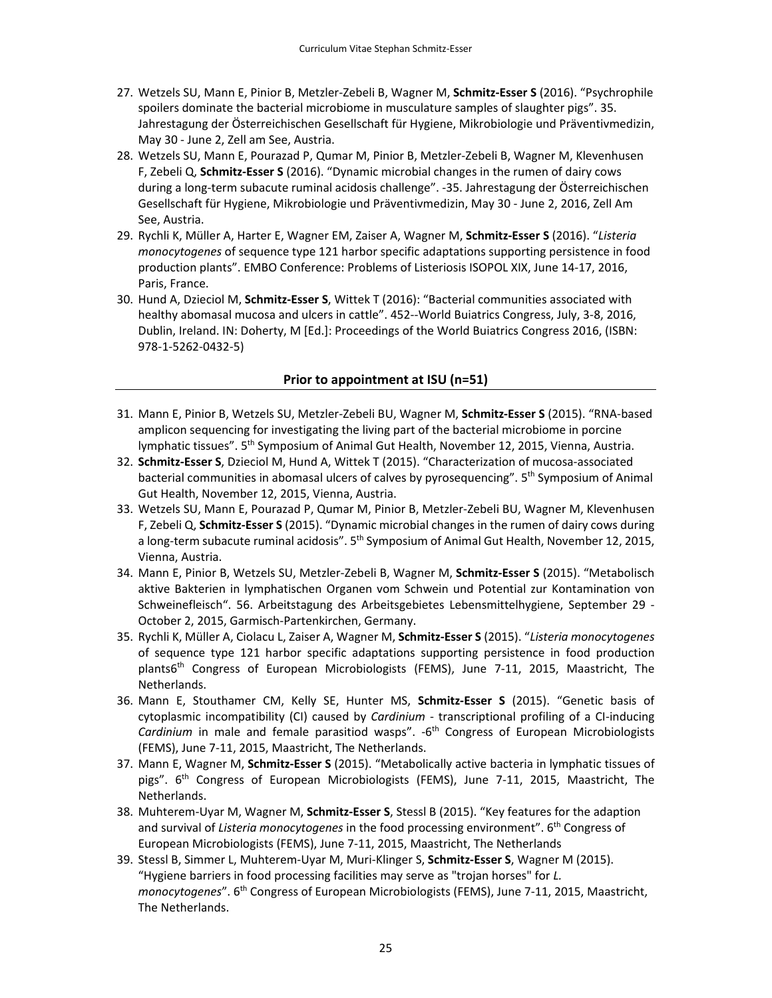- 27. Wetzels SU, Mann E, Pinior B, Metzler‐Zebeli B, Wagner M, **Schmitz‐Esser S** (2016). "Psychrophile spoilers dominate the bacterial microbiome in musculature samples of slaughter pigs". 35. Jahrestagung der Österreichischen Gesellschaft für Hygiene, Mikrobiologie und Präventivmedizin, May 30 ‐ June 2, Zell am See, Austria.
- 28. Wetzels SU, Mann E, Pourazad P, Qumar M, Pinior B, Metzler‐Zebeli B, Wagner M, Klevenhusen F, Zebeli Q, **Schmitz‐Esser S** (2016). "Dynamic microbial changes in the rumen of dairy cows during a long‐term subacute ruminal acidosis challenge". ‐35. Jahrestagung der Österreichischen Gesellschaft für Hygiene, Mikrobiologie und Präventivmedizin, May 30 ‐ June 2, 2016, Zell Am See, Austria.
- 29. Rychli K, Müller A, Harter E, Wagner EM, Zaiser A, Wagner M, **Schmitz‐Esser S** (2016). "*Listeria monocytogenes* of sequence type 121 harbor specific adaptations supporting persistence in food production plants". EMBO Conference: Problems of Listeriosis ISOPOL XIX, June 14‐17, 2016, Paris, France.
- 30. Hund A, Dzieciol M, **Schmitz‐Esser S**, Wittek T (2016): "Bacterial communities associated with healthy abomasal mucosa and ulcers in cattle". 452--World Buiatrics Congress, July, 3-8, 2016, Dublin, Ireland. IN: Doherty, M [Ed.]: Proceedings of the World Buiatrics Congress 2016, (ISBN: 978‐1‐5262‐0432‐5)

#### **Prior to appointment at ISU (n=51)**

- 31. Mann E, Pinior B, Wetzels SU, Metzler‐Zebeli BU, Wagner M, **Schmitz‐Esser S** (2015). "RNA‐based amplicon sequencing for investigating the living part of the bacterial microbiome in porcine lymphatic tissues". 5th Symposium of Animal Gut Health, November 12, 2015, Vienna, Austria.
- 32. **Schmitz‐Esser S**, Dzieciol M, Hund A, Wittek T (2015). "Characterization of mucosa‐associated bacterial communities in abomasal ulcers of calves by pyrosequencing". 5<sup>th</sup> Symposium of Animal Gut Health, November 12, 2015, Vienna, Austria.
- 33. Wetzels SU, Mann E, Pourazad P, Qumar M, Pinior B, Metzler‐Zebeli BU, Wagner M, Klevenhusen F, Zebeli Q, **Schmitz‐Esser S** (2015). "Dynamic microbial changes in the rumen of dairy cows during a long-term subacute ruminal acidosis". 5<sup>th</sup> Symposium of Animal Gut Health, November 12, 2015, Vienna, Austria.
- 34. Mann E, Pinior B, Wetzels SU, Metzler‐Zebeli B, Wagner M, **Schmitz‐Esser S** (2015). "Metabolisch aktive Bakterien in lymphatischen Organen vom Schwein und Potential zur Kontamination von Schweinefleisch". 56. Arbeitstagung des Arbeitsgebietes Lebensmittelhygiene, September 29 ‐ October 2, 2015, Garmisch‐Partenkirchen, Germany.
- 35. Rychli K, Müller A, Ciolacu L, Zaiser A, Wagner M, **Schmitz‐Esser S** (2015). "*Listeria monocytogenes* of sequence type 121 harbor specific adaptations supporting persistence in food production plants6th Congress of European Microbiologists (FEMS), June 7‐11, 2015, Maastricht, The Netherlands.
- 36. Mann E, Stouthamer CM, Kelly SE, Hunter MS, **Schmitz‐Esser S** (2015). "Genetic basis of cytoplasmic incompatibility (CI) caused by *Cardinium* - transcriptional profiling of a CI-inducing *Cardinium* in male and female parasitiod wasps". ‐6th Congress of European Microbiologists (FEMS), June 7‐11, 2015, Maastricht, The Netherlands.
- 37. Mann E, Wagner M, **Schmitz‐Esser S** (2015). "Metabolically active bacteria in lymphatic tissues of pigs". 6<sup>th</sup> Congress of European Microbiologists (FEMS), June 7-11, 2015, Maastricht, The Netherlands.
- 38. Muhterem‐Uyar M, Wagner M, **Schmitz‐Esser S**, Stessl B (2015). "Key features for the adaption and survival of *Listeria monocytogenes* in the food processing environment". 6th Congress of European Microbiologists (FEMS), June 7‐11, 2015, Maastricht, The Netherlands
- 39. Stessl B, Simmer L, Muhterem‐Uyar M, Muri‐Klinger S, **Schmitz‐Esser S**, Wagner M (2015). "Hygiene barriers in food processing facilities may serve as "trojan horses" for *L. monocytogenes*". 6th Congress of European Microbiologists (FEMS), June 7‐11, 2015, Maastricht, The Netherlands.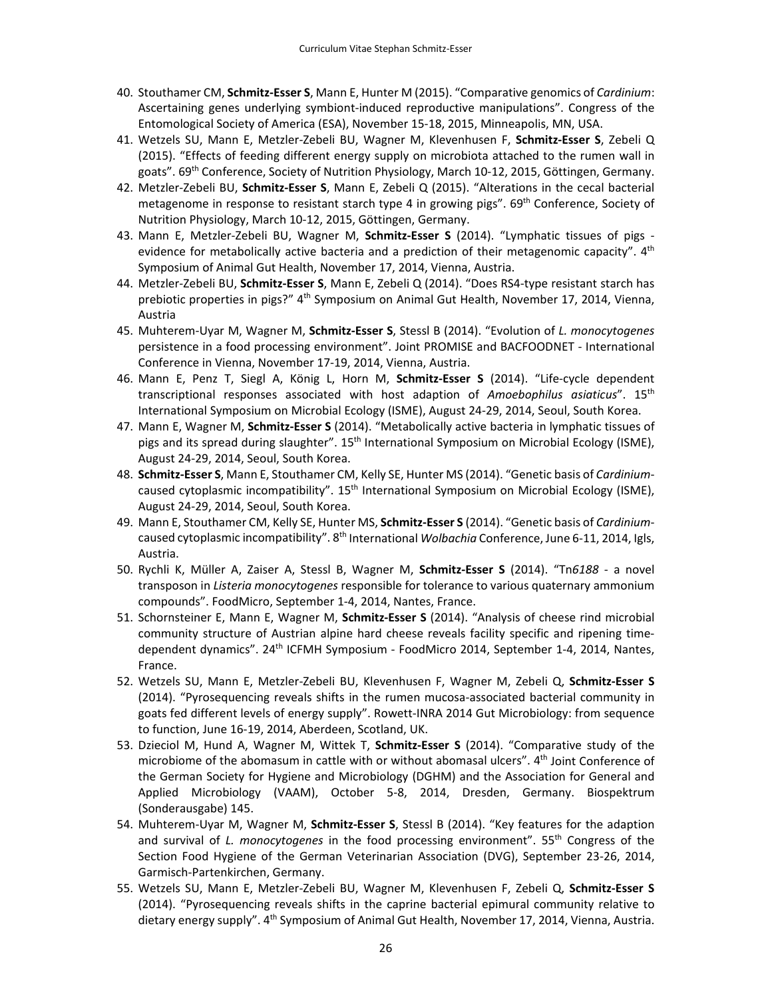- 40. Stouthamer CM, **Schmitz‐Esser S**, Mann E, Hunter M (2015). "Comparative genomics of *Cardinium*: Ascertaining genes underlying symbiont‐induced reproductive manipulations". Congress of the Entomological Society of America (ESA), November 15‐18, 2015, Minneapolis, MN, USA.
- 41. Wetzels SU, Mann E, Metzler‐Zebeli BU, Wagner M, Klevenhusen F, **Schmitz‐Esser S**, Zebeli Q (2015). "Effects of feeding different energy supply on microbiota attached to the rumen wall in goats". 69th Conference, Society of Nutrition Physiology, March 10‐12, 2015, Göttingen, Germany.
- 42. Metzler‐Zebeli BU, **Schmitz‐Esser S**, Mann E, Zebeli Q (2015). "Alterations in the cecal bacterial metagenome in response to resistant starch type 4 in growing pigs". 69<sup>th</sup> Conference, Society of Nutrition Physiology, March 10‐12, 2015, Göttingen, Germany.
- 43. Mann E, Metzler‐Zebeli BU, Wagner M, **Schmitz‐Esser S** (2014). "Lymphatic tissues of pigs ‐ evidence for metabolically active bacteria and a prediction of their metagenomic capacity". 4<sup>th</sup> Symposium of Animal Gut Health, November 17, 2014, Vienna, Austria.
- 44. Metzler‐Zebeli BU, **Schmitz‐Esser S**, Mann E, Zebeli Q (2014). "Does RS4‐type resistant starch has prebiotic properties in pigs?" 4<sup>th</sup> Symposium on Animal Gut Health, November 17, 2014, Vienna, Austria
- 45. Muhterem‐Uyar M, Wagner M, **Schmitz‐Esser S**, Stessl B (2014). "Evolution of *L. monocytogenes* persistence in a food processing environment". Joint PROMISE and BACFOODNET ‐ International Conference in Vienna, November 17‐19, 2014, Vienna, Austria.
- 46. Mann E, Penz T, Siegl A, König L, Horn M, **Schmitz‐Esser S** (2014). "Life‐cycle dependent transcriptional responses associated with host adaption of *Amoebophilus asiaticus*". 15th International Symposium on Microbial Ecology (ISME), August 24‐29, 2014, Seoul, South Korea.
- 47. Mann E, Wagner M, **Schmitz‐Esser S** (2014). "Metabolically active bacteria in lymphatic tissues of pigs and its spread during slaughter". 15th International Symposium on Microbial Ecology (ISME), August 24‐29, 2014, Seoul, South Korea.
- 48. **Schmitz‐Esser S**, Mann E, Stouthamer CM, Kelly SE, Hunter MS (2014). "Genetic basis of *Cardinium*‐ caused cytoplasmic incompatibility". 15<sup>th</sup> International Symposium on Microbial Ecology (ISME), August 24‐29, 2014, Seoul, South Korea.
- 49. Mann E, Stouthamer CM, Kelly SE, Hunter MS, **Schmitz‐Esser S** (2014). "Genetic basis of *Cardinium*‐ caused cytoplasmic incompatibility". 8th International *Wolbachia* Conference, June 6‐11, 2014, Igls, Austria.
- 50. Rychli K, Müller A, Zaiser A, Stessl B, Wagner M, **Schmitz‐Esser S** (2014). "Tn*6188* ‐ a novel transposon in *Listeria monocytogenes* responsible for tolerance to various quaternary ammonium compounds". FoodMicro, September 1‐4, 2014, Nantes, France.
- 51. Schornsteiner E, Mann E, Wagner M, **Schmitz‐Esser S** (2014). "Analysis of cheese rind microbial community structure of Austrian alpine hard cheese reveals facility specific and ripening time‐ dependent dynamics". 24th ICFMH Symposium ‐ FoodMicro 2014, September 1‐4, 2014, Nantes, France.
- 52. Wetzels SU, Mann E, Metzler‐Zebeli BU, Klevenhusen F, Wagner M, Zebeli Q, **Schmitz‐Esser S** (2014). "Pyrosequencing reveals shifts in the rumen mucosa‐associated bacterial community in goats fed different levels of energy supply". Rowett-INRA 2014 Gut Microbiology: from sequence to function, June 16‐19, 2014, Aberdeen, Scotland, UK.
- 53. Dzieciol M, Hund A, Wagner M, Wittek T, **Schmitz‐Esser S** (2014). "Comparative study of the microbiome of the abomasum in cattle with or without abomasal ulcers". 4<sup>th</sup> Joint Conference of the German Society for Hygiene and Microbiology (DGHM) and the Association for General and Applied Microbiology (VAAM), October 5‐8, 2014, Dresden, Germany. Biospektrum (Sonderausgabe) 145.
- 54. Muhterem‐Uyar M, Wagner M, **Schmitz‐Esser S**, Stessl B (2014). "Key features for the adaption and survival of *L. monocytogenes* in the food processing environment". 55th Congress of the Section Food Hygiene of the German Veterinarian Association (DVG), September 23‐26, 2014, Garmisch‐Partenkirchen, Germany.
- 55. Wetzels SU, Mann E, Metzler‐Zebeli BU, Wagner M, Klevenhusen F, Zebeli Q, **Schmitz‐Esser S** (2014). "Pyrosequencing reveals shifts in the caprine bacterial epimural community relative to dietary energy supply". 4<sup>th</sup> Symposium of Animal Gut Health, November 17, 2014, Vienna, Austria.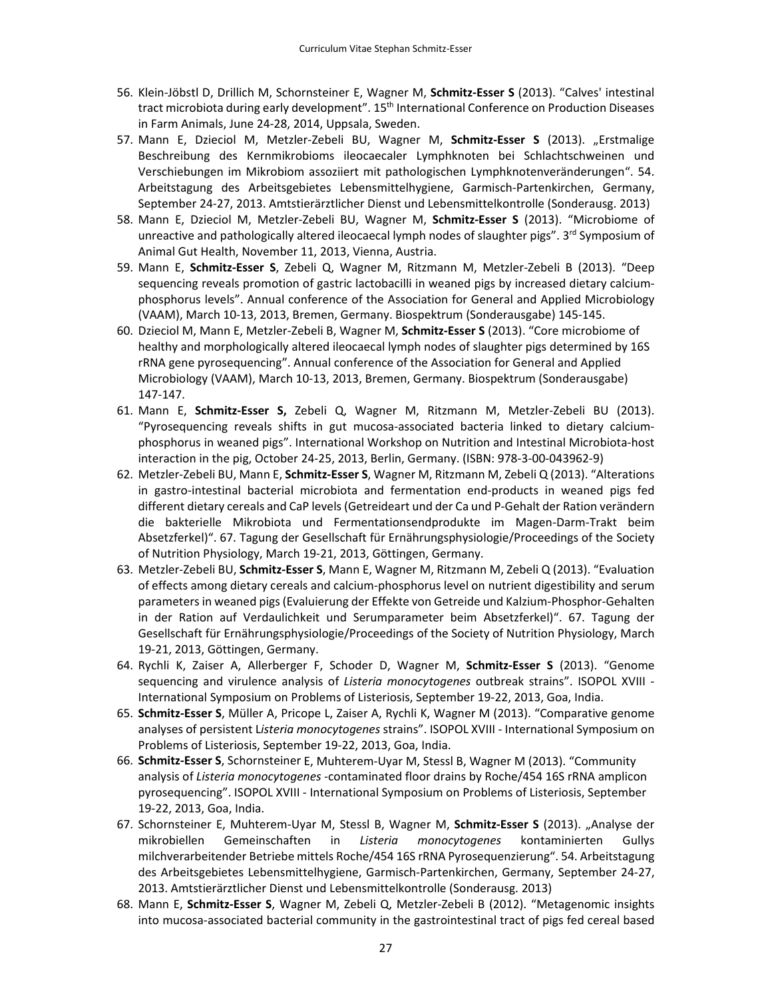- 56. Klein‐Jöbstl D, Drillich M, Schornsteiner E, Wagner M, **Schmitz‐Esser S** (2013). "Calves' intestinal tract microbiota during early development". 15th International Conference on Production Diseases in Farm Animals, June 24‐28, 2014, Uppsala, Sweden.
- 57. Mann E, Dzieciol M, Metzler‐Zebeli BU, Wagner M, **Schmitz‐Esser S** (2013). "Erstmalige Beschreibung des Kernmikrobioms ileocaecaler Lymphknoten bei Schlachtschweinen und Verschiebungen im Mikrobiom assoziiert mit pathologischen Lymphknotenveränderungen". 54. Arbeitstagung des Arbeitsgebietes Lebensmittelhygiene, Garmisch‐Partenkirchen, Germany, September 24‐27, 2013. Amtstierärztlicher Dienst und Lebensmittelkontrolle (Sonderausg. 2013)
- 58. Mann E, Dzieciol M, Metzler‐Zebeli BU, Wagner M, **Schmitz‐Esser S** (2013). "Microbiome of unreactive and pathologically altered ileocaecal lymph nodes of slaughter pigs". 3<sup>rd</sup> Symposium of Animal Gut Health, November 11, 2013, Vienna, Austria.
- 59. Mann E, **Schmitz‐Esser S**, Zebeli Q, Wagner M, Ritzmann M, Metzler‐Zebeli B (2013). "Deep sequencing reveals promotion of gastric lactobacilli in weaned pigs by increased dietary calciumphosphorus levels". Annual conference of the Association for General and Applied Microbiology (VAAM), March 10‐13, 2013, Bremen, Germany. Biospektrum (Sonderausgabe) 145‐145.
- 60. Dzieciol M, Mann E, Metzler‐Zebeli B, Wagner M, **Schmitz‐Esser S** (2013). "Core microbiome of healthy and morphologically altered ileocaecal lymph nodes of slaughter pigs determined by 16S rRNA gene pyrosequencing". Annual conference of the Association for General and Applied Microbiology (VAAM), March 10‐13, 2013, Bremen, Germany. Biospektrum (Sonderausgabe) 147‐147.
- 61. Mann E, **Schmitz‐Esser S,** Zebeli Q, Wagner M, Ritzmann M, Metzler‐Zebeli BU (2013). "Pyrosequencing reveals shifts in gut mucosa‐associated bacteria linked to dietary calcium‐ phosphorus in weaned pigs". International Workshop on Nutrition and Intestinal Microbiota‐host interaction in the pig, October 24‐25, 2013, Berlin, Germany. (ISBN: 978‐3‐00‐043962‐9)
- 62. Metzler‐Zebeli BU, Mann E, **Schmitz‐Esser S**, Wagner M, Ritzmann M, Zebeli Q (2013). "Alterations in gastro-intestinal bacterial microbiota and fermentation end-products in weaned pigs fed different dietary cereals and CaP levels(Getreideart und der Ca und P‐Gehalt der Ration verändern die bakterielle Mikrobiota und Fermentationsendprodukte im Magen‐Darm‐Trakt beim Absetzferkel)". 67. Tagung der Gesellschaft für Ernährungsphysiologie/Proceedings of the Society of Nutrition Physiology, March 19‐21, 2013, Göttingen, Germany.
- 63. Metzler‐Zebeli BU, **Schmitz‐Esser S**, Mann E, Wagner M, Ritzmann M, Zebeli Q (2013). "Evaluation of effects among dietary cereals and calcium‐phosphorus level on nutrient digestibility and serum parametersin weaned pigs(Evaluierung der Effekte von Getreide und Kalzium‐Phosphor‐Gehalten in der Ration auf Verdaulichkeit und Serumparameter beim Absetzferkel)". 67. Tagung der Gesellschaft für Ernährungsphysiologie/Proceedings of the Society of Nutrition Physiology, March 19‐21, 2013, Göttingen, Germany.
- 64. Rychli K, Zaiser A, Allerberger F, Schoder D, Wagner M, **Schmitz‐Esser S** (2013). "Genome sequencing and virulence analysis of *Listeria monocytogenes* outbreak strains". ISOPOL XVIII ‐ International Symposium on Problems of Listeriosis, September 19‐22, 2013, Goa, India.
- 65. **Schmitz‐Esser S**, Müller A, Pricope L, Zaiser A, Rychli K, Wagner M (2013). "Comparative genome analyses of persistent L*isteria monocytogenes* strains". ISOPOL XVIII ‐ International Symposium on Problems of Listeriosis, September 19‐22, 2013, Goa, India.
- 66. **Schmitz‐Esser S**, Schornsteiner E, Muhterem‐Uyar M, Stessl B, Wagner M (2013). "Community analysis of *Listeria monocytogenes* ‐contaminated floor drains by Roche/454 16S rRNA amplicon pyrosequencing". ISOPOL XVIII ‐ International Symposium on Problems of Listeriosis, September 19‐22, 2013, Goa, India.
- 67. Schornsteiner E, Muhterem‐Uyar M, Stessl B, Wagner M, **Schmitz‐Esser S** (2013). "Analyse der mikrobiellen Gemeinschaften in *Listeria monocytogenes* kontaminierten Gullys milchverarbeitender Betriebe mittels Roche/454 16S rRNA Pyrosequenzierung". 54. Arbeitstagung des Arbeitsgebietes Lebensmittelhygiene, Garmisch‐Partenkirchen, Germany, September 24‐27, 2013. Amtstierärztlicher Dienst und Lebensmittelkontrolle (Sonderausg. 2013)
- 68. Mann E, **Schmitz‐Esser S**, Wagner M, Zebeli Q, Metzler‐Zebeli B (2012). "Metagenomic insights into mucosa‐associated bacterial community in the gastrointestinal tract of pigs fed cereal based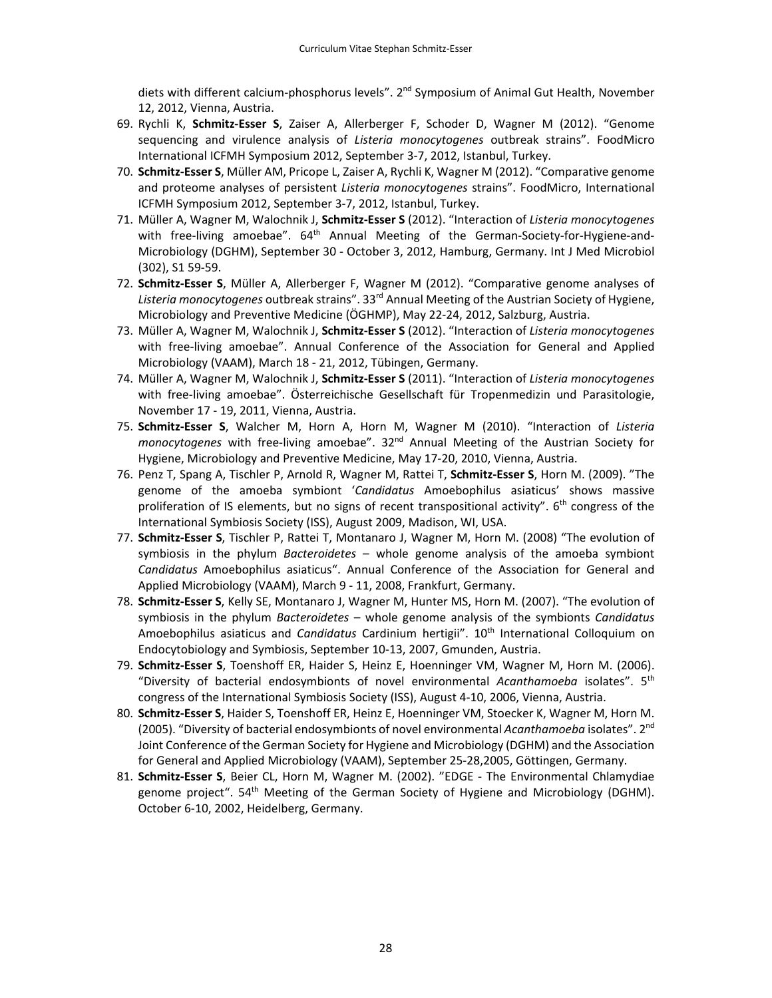diets with different calcium-phosphorus levels". 2<sup>nd</sup> Symposium of Animal Gut Health, November 12, 2012, Vienna, Austria.

- 69. Rychli K, **Schmitz‐Esser S**, Zaiser A, Allerberger F, Schoder D, Wagner M (2012). "Genome sequencing and virulence analysis of *Listeria monocytogenes* outbreak strains". FoodMicro International ICFMH Symposium 2012, September 3‐7, 2012, Istanbul, Turkey.
- 70. **Schmitz‐Esser S**, Müller AM, Pricope L, Zaiser A, Rychli K, Wagner M (2012). "Comparative genome and proteome analyses of persistent *Listeria monocytogenes* strains". FoodMicro, International ICFMH Symposium 2012, September 3‐7, 2012, Istanbul, Turkey.
- 71. Müller A, Wagner M, Walochnik J, **Schmitz‐Esser S** (2012). "Interaction of *Listeria monocytogenes* with free-living amoebae". 64<sup>th</sup> Annual Meeting of the German-Society-for-Hygiene-and-Microbiology (DGHM), September 30 ‐ October 3, 2012, Hamburg, Germany. Int J Med Microbiol (302), S1 59‐59.
- 72. **Schmitz‐Esser S**, Müller A, Allerberger F, Wagner M (2012). "Comparative genome analyses of *Listeria monocytogenes* outbreak strains". 33rd Annual Meeting of the Austrian Society of Hygiene, Microbiology and Preventive Medicine (ÖGHMP), May 22‐24, 2012, Salzburg, Austria.
- 73. Müller A, Wagner M, Walochnik J, **Schmitz‐Esser S** (2012). "Interaction of *Listeria monocytogenes* with free-living amoebae". Annual Conference of the Association for General and Applied Microbiology (VAAM), March 18 ‐ 21, 2012, Tübingen, Germany.
- 74. Müller A, Wagner M, Walochnik J, **Schmitz‐Esser S** (2011). "Interaction of *Listeria monocytogenes* with free‐living amoebae". Österreichische Gesellschaft für Tropenmedizin und Parasitologie, November 17 ‐ 19, 2011, Vienna, Austria.
- 75. **Schmitz‐Esser S**, Walcher M, Horn A, Horn M, Wagner M (2010). "Interaction of *Listeria monocytogenes* with free-living amoebae". 32<sup>nd</sup> Annual Meeting of the Austrian Society for Hygiene, Microbiology and Preventive Medicine, May 17‐20, 2010, Vienna, Austria.
- 76. Penz T, Spang A, Tischler P, Arnold R, Wagner M, Rattei T, **Schmitz‐Esser S**, Horn M. (2009). "The genome of the amoeba symbiont '*Candidatus* Amoebophilus asiaticus' shows massive proliferation of IS elements, but no signs of recent transpositional activity".  $6<sup>th</sup>$  congress of the International Symbiosis Society (ISS), August 2009, Madison, WI, USA.
- 77. **Schmitz‐Esser S**, Tischler P, Rattei T, Montanaro J, Wagner M, Horn M. (2008) "The evolution of symbiosis in the phylum *Bacteroidetes* – whole genome analysis of the amoeba symbiont *Candidatus* Amoebophilus asiaticus". Annual Conference of the Association for General and Applied Microbiology (VAAM), March 9 ‐ 11, 2008, Frankfurt, Germany.
- 78. **Schmitz‐Esser S**, Kelly SE, Montanaro J, Wagner M, Hunter MS, Horn M. (2007). "The evolution of symbiosis in the phylum *Bacteroidetes* – whole genome analysis of the symbionts *Candidatus* Amoebophilus asiaticus and *Candidatus* Cardinium hertigii". 10th International Colloquium on Endocytobiology and Symbiosis, September 10‐13, 2007, Gmunden, Austria.
- 79. **Schmitz‐Esser S**, Toenshoff ER, Haider S, Heinz E, Hoenninger VM, Wagner M, Horn M. (2006). "Diversity of bacterial endosymbionts of novel environmental *Acanthamoeba* isolates". 5th congress of the International Symbiosis Society (ISS), August 4‐10, 2006, Vienna, Austria.
- 80. **Schmitz‐Esser S**, Haider S, Toenshoff ER, Heinz E, Hoenninger VM, Stoecker K, Wagner M, Horn M. (2005). "Diversity of bacterial endosymbionts of novel environmental *Acanthamoeba* isolates". 2nd Joint Conference of the German Society for Hygiene and Microbiology (DGHM) and the Association for General and Applied Microbiology (VAAM), September 25‐28,2005, Göttingen, Germany.
- 81. **Schmitz‐Esser S**, Beier CL, Horn M, Wagner M. (2002). "EDGE ‐ The Environmental Chlamydiae genome project". 54<sup>th</sup> Meeting of the German Society of Hygiene and Microbiology (DGHM). October 6‐10, 2002, Heidelberg, Germany.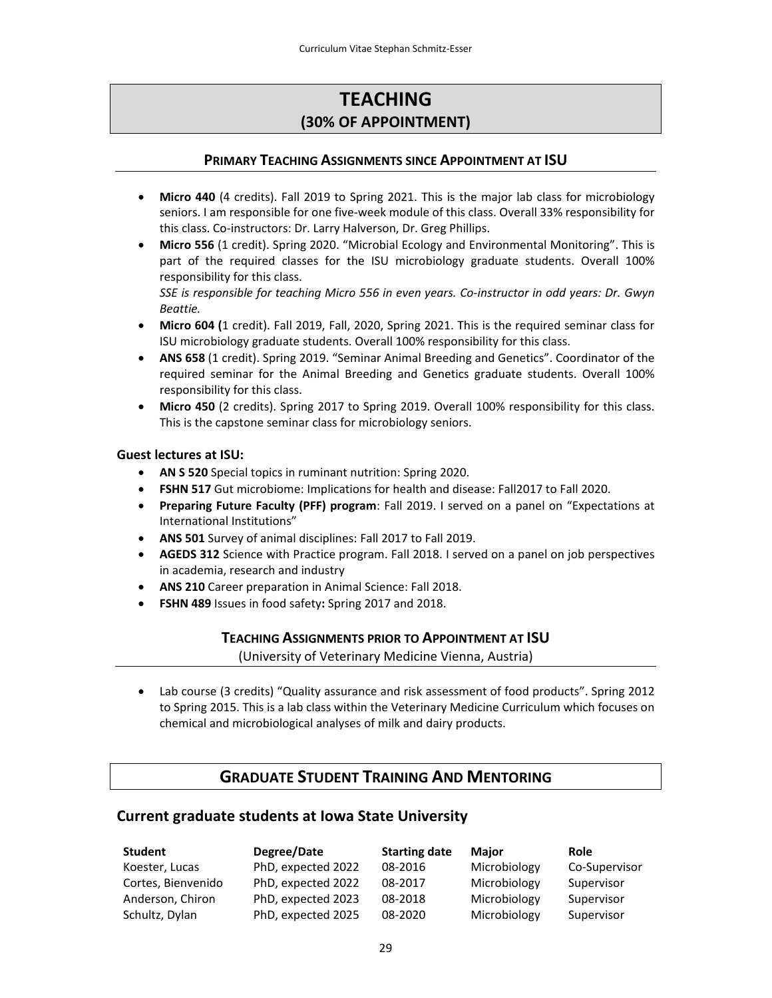# **TEACHING (30% OF APPOINTMENT)**

## **PRIMARY TEACHING ASSIGNMENTS SINCE APPOINTMENT AT ISU**

- **Micro 440** (4 credits). Fall 2019 to Spring 2021. This is the major lab class for microbiology seniors. I am responsible for one five‐week module of this class. Overall 33% responsibility for this class. Co‐instructors: Dr. Larry Halverson, Dr. Greg Phillips.
- **Micro 556** (1 credit). Spring 2020. "Microbial Ecology and Environmental Monitoring". This is part of the required classes for the ISU microbiology graduate students. Overall 100% responsibility for this class.

*SSE is responsible for teaching Micro 556 in even years. Co‐instructor in odd years: Dr. Gwyn Beattie.*

- **Micro 604 (**1 credit). Fall 2019, Fall, 2020, Spring 2021. This is the required seminar class for ISU microbiology graduate students. Overall 100% responsibility for this class.
- **ANS 658** (1 credit). Spring 2019. "Seminar Animal Breeding and Genetics". Coordinator of the required seminar for the Animal Breeding and Genetics graduate students. Overall 100% responsibility for this class.
- **Micro 450** (2 credits). Spring 2017 to Spring 2019. Overall 100% responsibility for this class. This is the capstone seminar class for microbiology seniors.

#### **Guest lectures at ISU:**

- **AN S 520** Special topics in ruminant nutrition: Spring 2020.
- **FSHN 517** Gut microbiome: Implications for health and disease: Fall2017 to Fall 2020.
- **Preparing Future Faculty (PFF) program**: Fall 2019. I served on a panel on "Expectations at International Institutions"
- **ANS 501** Survey of animal disciplines: Fall 2017 to Fall 2019.
- **AGEDS 312** Science with Practice program. Fall 2018. I served on a panel on job perspectives in academia, research and industry
- **ANS 210** Career preparation in Animal Science: Fall 2018.
- **FSHN 489** Issues in food safety**:** Spring 2017 and 2018.

### **TEACHING ASSIGNMENTS PRIOR TO APPOINTMENT AT ISU**

(University of Veterinary Medicine Vienna, Austria)

 Lab course (3 credits) "Quality assurance and risk assessment of food products". Spring 2012 to Spring 2015. This is a lab class within the Veterinary Medicine Curriculum which focuses on chemical and microbiological analyses of milk and dairy products.

# **GRADUATE STUDENT TRAINING AND MENTORING**

## **Current graduate students at Iowa State University**

| Student            | Degree/Date        | <b>Starting date</b> | <b>Major</b> | <b>Role</b>   |
|--------------------|--------------------|----------------------|--------------|---------------|
| Koester, Lucas     | PhD, expected 2022 | 08-2016              | Microbiology | Co-Supervisor |
| Cortes, Bienvenido | PhD, expected 2022 | 08-2017              | Microbiology | Supervisor    |
| Anderson, Chiron   | PhD, expected 2023 | 08-2018              | Microbiology | Supervisor    |
| Schultz, Dylan     | PhD, expected 2025 | 08-2020              | Microbiology | Supervisor    |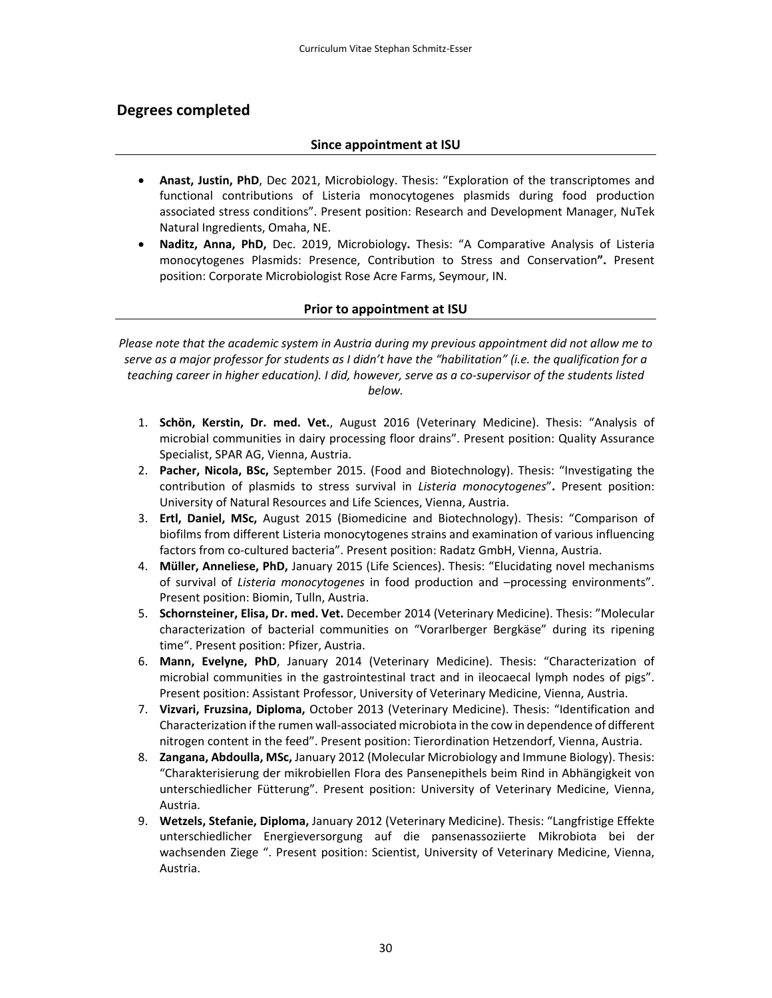## **Degrees completed**

#### **Since appointment at ISU**

- **Anast, Justin, PhD**, Dec 2021, Microbiology. Thesis: "Exploration of the transcriptomes and functional contributions of Listeria monocytogenes plasmids during food production associated stress conditions". Present position: Research and Development Manager, NuTek Natural Ingredients, Omaha, NE.
- **Naditz, Anna, PhD,** Dec. 2019, Microbiology**.** Thesis: "A Comparative Analysis of Listeria monocytogenes Plasmids: Presence, Contribution to Stress and Conservation**".** Present position: Corporate Microbiologist Rose Acre Farms, Seymour, IN.

#### **Prior to appointment at ISU**

*Please note that the academic system in Austria during my previous appointment did not allow me to* serve as a major professor for students as I didn't have the "habilitation" (i.e. the qualification for a teaching career in higher education). I did, however, serve as a co-supervisor of the students listed *below.* 

- 1. **Schön, Kerstin, Dr. med. Vet.**, August 2016 (Veterinary Medicine). Thesis: "Analysis of microbial communities in dairy processing floor drains". Present position: Quality Assurance Specialist, SPAR AG, Vienna, Austria.
- 2. **Pacher, Nicola, BSc,** September 2015. (Food and Biotechnology). Thesis: "Investigating the contribution of plasmids to stress survival in *Listeria monocytogenes*"**.** Present position: University of Natural Resources and Life Sciences, Vienna, Austria.
- 3. **Ertl, Daniel, MSc,** August 2015 (Biomedicine and Biotechnology). Thesis: "Comparison of biofilms from different Listeria monocytogenes strains and examination of various influencing factors from co-cultured bacteria". Present position: Radatz GmbH, Vienna, Austria.
- 4. **Müller, Anneliese, PhD,** January 2015 (Life Sciences). Thesis: "Elucidating novel mechanisms of survival of *Listeria monocytogenes* in food production and –processing environments". Present position: Biomin, Tulln, Austria.
- 5. **Schornsteiner, Elisa, Dr. med. Vet.** December 2014 (Veterinary Medicine). Thesis: "Molecular characterization of bacterial communities on "Vorarlberger Bergkäse" during its ripening time". Present position: Pfizer, Austria.
- 6. **Mann, Evelyne, PhD**, January 2014 (Veterinary Medicine). Thesis: "Characterization of microbial communities in the gastrointestinal tract and in ileocaecal lymph nodes of pigs". Present position: Assistant Professor, University of Veterinary Medicine, Vienna, Austria.
- 7. **Vizvari, Fruzsina, Diploma,** October 2013 (Veterinary Medicine). Thesis: "Identification and Characterization ifthe rumen wall‐associated microbiota in the cow in dependence of different nitrogen content in the feed". Present position: Tierordination Hetzendorf, Vienna, Austria.
- 8. **Zangana, Abdoulla, MSc,** January 2012 (Molecular Microbiology and Immune Biology). Thesis: "Charakterisierung der mikrobiellen Flora des Pansenepithels beim Rind in Abhängigkeit von unterschiedlicher Fütterung". Present position: University of Veterinary Medicine, Vienna, Austria.
- 9. **Wetzels, Stefanie, Diploma,** January 2012 (Veterinary Medicine). Thesis: "Langfristige Effekte unterschiedlicher Energieversorgung auf die pansenassoziierte Mikrobiota bei der wachsenden Ziege ". Present position: Scientist, University of Veterinary Medicine, Vienna, Austria.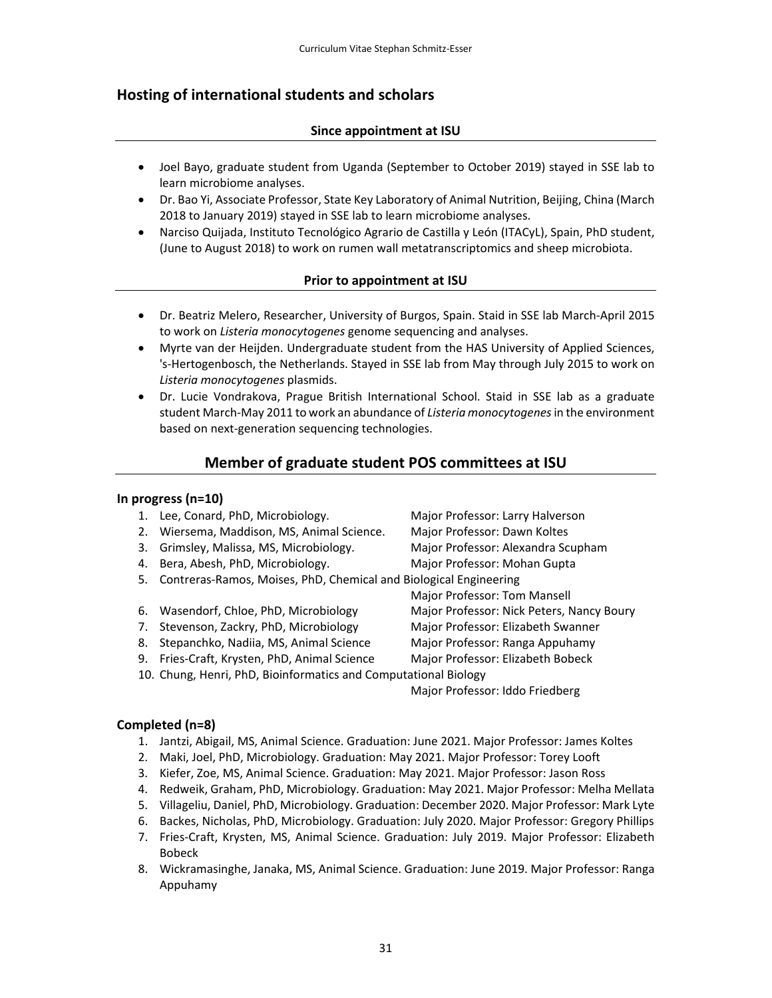# **Hosting of international students and scholars**

## **Since appointment at ISU**

- Joel Bayo, graduate student from Uganda (September to October 2019) stayed in SSE lab to learn microbiome analyses.
- Dr. Bao Yi, Associate Professor, State Key Laboratory of Animal Nutrition, Beijing, China (March 2018 to January 2019) stayed in SSE lab to learn microbiome analyses.
- Narciso Quijada, Instituto Tecnológico Agrario de Castilla y León (ITACyL), Spain, PhD student, (June to August 2018) to work on rumen wall metatranscriptomics and sheep microbiota.

## **Prior to appointment at ISU**

- Dr. Beatriz Melero, Researcher, University of Burgos, Spain. Staid in SSE lab March‐April 2015 to work on *Listeria monocytogenes* genome sequencing and analyses.
- Myrte van der Heijden. Undergraduate student from the HAS University of Applied Sciences, 's‐Hertogenbosch, the Netherlands. Stayed in SSE lab from May through July 2015 to work on *Listeria monocytogenes* plasmids.
- Dr. Lucie Vondrakova, Prague British International School. Staid in SSE lab as a graduate student March‐May 2011 to work an abundance of *Listeria monocytogenes*in the environment based on next‐generation sequencing technologies.

# **Member of graduate student POS committees at ISU**

### **In progress (n=10)**

- 1. Lee, Conard, PhD, Microbiology. Major Professor: Larry Halverson
- 2. Wiersema, Maddison, MS, Animal Science. Major Professor: Dawn Koltes
- 3. Grimsley, Malissa, MS, Microbiology. Major Professor: Alexandra Scupham
- 4. Bera, Abesh, PhD, Microbiology. Major Professor: Mohan Gupta
- 5. Contreras‐Ramos, Moises, PhD, Chemical and Biological Engineering
- 6. Wasendorf, Chloe, PhD, Microbiology Major Professor: Nick Peters, Nancy Boury
- 7. Stevenson, Zackry, PhD, Microbiology Major Professor: Elizabeth Swanner
- 8. Stepanchko, Nadiia, MS, Animal Science Major Professor: Ranga Appuhamy
- 9. Fries‐Craft, Krysten, PhD, Animal Science Major Professor: Elizabeth Bobeck
- 10. Chung, Henri, PhD, Bioinformatics and Computational Biology

Major Professor: Iddo Friedberg

### **Completed (n=8)**

- 1. Jantzi, Abigail, MS, Animal Science. Graduation: June 2021. Major Professor: James Koltes
- 2. Maki, Joel, PhD, Microbiology. Graduation: May 2021. Major Professor: Torey Looft
- 3. Kiefer, Zoe, MS, Animal Science. Graduation: May 2021. Major Professor: Jason Ross
- 4. Redweik, Graham, PhD, Microbiology. Graduation: May 2021. Major Professor: Melha Mellata
- 5. Villageliu, Daniel, PhD, Microbiology. Graduation: December 2020. Major Professor: Mark Lyte
- 6. Backes, Nicholas, PhD, Microbiology. Graduation: July 2020. Major Professor: Gregory Phillips
- 7. Fries‐Craft, Krysten, MS, Animal Science. Graduation: July 2019. Major Professor: Elizabeth Bobeck
- 8. Wickramasinghe, Janaka, MS, Animal Science. Graduation: June 2019. Major Professor: Ranga Appuhamy
- 
- 
- 
- 

Major Professor: Tom Mansell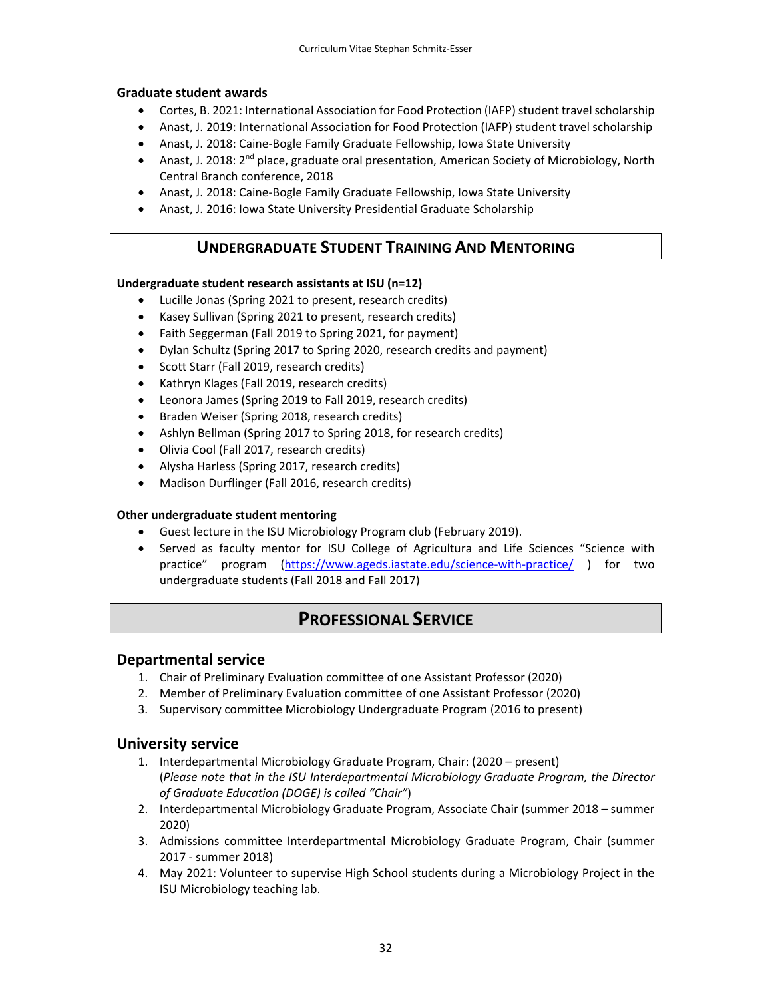#### **Graduate student awards**

- Cortes, B. 2021: International Association for Food Protection (IAFP) student travel scholarship
- Anast, J. 2019: International Association for Food Protection (IAFP) student travel scholarship
- Anast, J. 2018: Caine-Bogle Family Graduate Fellowship, Iowa State University
- Anast, J. 2018:  $2^{nd}$  place, graduate oral presentation, American Society of Microbiology, North Central Branch conference, 2018
- Anast, J. 2018: Caine-Bogle Family Graduate Fellowship, Iowa State University
- Anast, J. 2016: Iowa State University Presidential Graduate Scholarship

# **UNDERGRADUATE STUDENT TRAINING AND MENTORING**

#### **Undergraduate student research assistants at ISU (n=12)**

- Lucille Jonas (Spring 2021 to present, research credits)
- Kasey Sullivan (Spring 2021 to present, research credits)
- Faith Seggerman (Fall 2019 to Spring 2021, for payment)
- Dylan Schultz (Spring 2017 to Spring 2020, research credits and payment)
- Scott Starr (Fall 2019, research credits)
- Kathryn Klages (Fall 2019, research credits)
- Leonora James (Spring 2019 to Fall 2019, research credits)
- Braden Weiser (Spring 2018, research credits)
- Ashlyn Bellman (Spring 2017 to Spring 2018, for research credits)
- Olivia Cool (Fall 2017, research credits)
- Alysha Harless (Spring 2017, research credits)
- Madison Durflinger (Fall 2016, research credits)

#### **Other undergraduate student mentoring**

- Guest lecture in the ISU Microbiology Program club (February 2019).
- Served as faculty mentor for ISU College of Agricultura and Life Sciences "Science with practice" program (https://www.ageds.iastate.edu/science-with-practice/ ) for two undergraduate students (Fall 2018 and Fall 2017)

# **PROFESSIONAL SERVICE**

### **Departmental service**

- 1. Chair of Preliminary Evaluation committee of one Assistant Professor (2020)
- 2. Member of Preliminary Evaluation committee of one Assistant Professor (2020)
- 3. Supervisory committee Microbiology Undergraduate Program (2016 to present)

### **University service**

- 1. Interdepartmental Microbiology Graduate Program, Chair: (2020 present) (*Please note that in the ISU Interdepartmental Microbiology Graduate Program, the Director of Graduate Education (DOGE) is called "Chair"*)
- 2. Interdepartmental Microbiology Graduate Program, Associate Chair (summer 2018 summer 2020)
- 3. Admissions committee Interdepartmental Microbiology Graduate Program, Chair (summer 2017 ‐ summer 2018)
- 4. May 2021: Volunteer to supervise High School students during a Microbiology Project in the ISU Microbiology teaching lab.